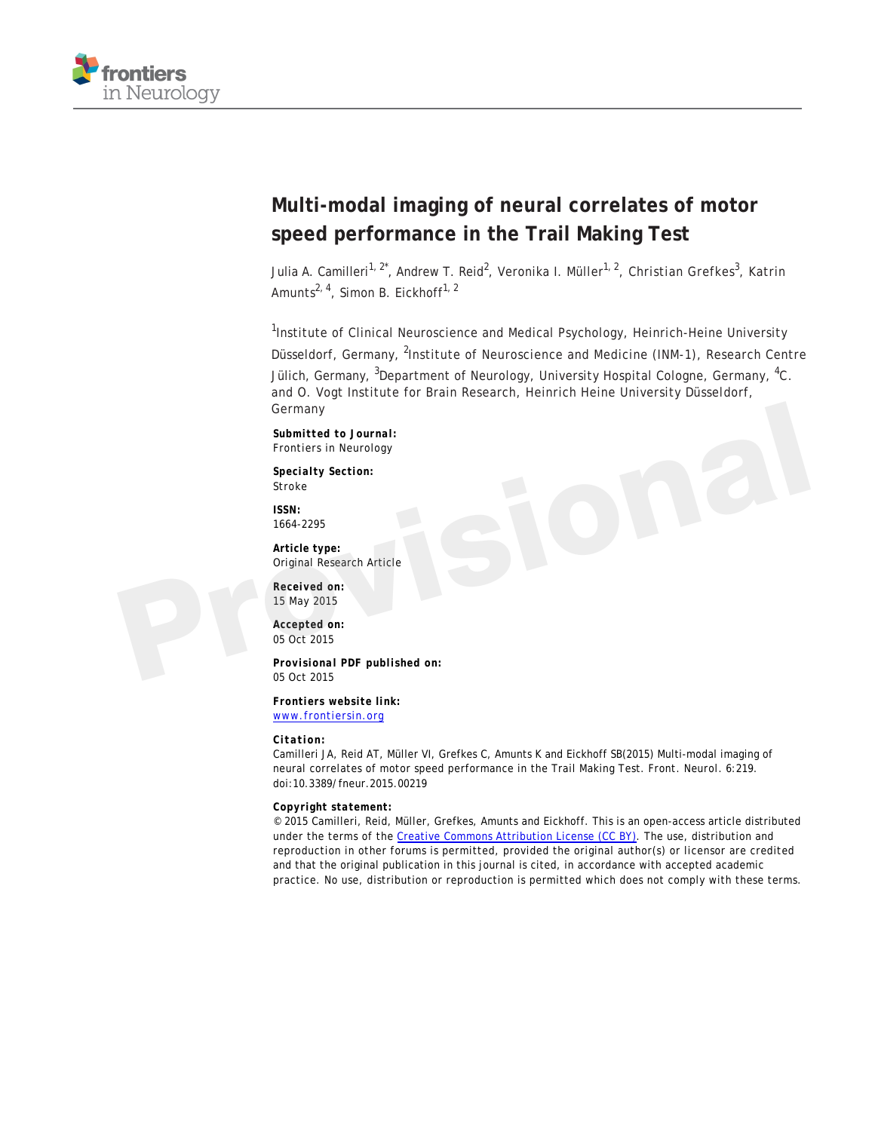

# **Multi-modal imaging of neural correlates of motor speed performance in the Trail Making Test**

Julia A. Camilleri<sup>1, 2\*</sup>, Andrew T. Reid<sup>2</sup>, Veronika I. Müller<sup>1, 2</sup>, Christian Grefkes<sup>3</sup>, Katrin Amunts<sup>2, 4</sup>, Simon B. Eickhoff<sup>1, 2</sup>

<sup>1</sup>Institute of Clinical Neuroscience and Medical Psychology, Heinrich-Heine University Düsseldorf, Germany, <sup>2</sup>Institute of Neuroscience and Medicine (INM-1), Research Centre Jülich, Germany, <sup>3</sup>Department of Neurology, University Hospital Cologne, Germany, <sup>4</sup>C. and O. Vogt Institute for Brain Research, Heinrich Heine University Düsseldorf, Germany Germany<br>
Submitted to Journal:<br>
Frontiers in Neurology<br>
Specialty Section:<br>
Stroke<br>
Stroke<br>
Marticle type:<br>
Article type:<br>
Received on:<br>
Received on:<br>
15 May 2015<br>
Accepted on:<br>
05 Oct 2015<br>
Provisional PDF published on:<br>

*Submitted to Journal:* Frontiers in Neurology

*Specialty Section:* Stroke

*ISSN:* 1664-2295

*Article type:* Original Research Article

*Received on:* 15 May 2015

*Accepted on:* 05 Oct 2015

*Provisional PDF published on:* 05 Oct 2015

*Frontiers website link:* [www.frontiersin.org](http://www.frontiersin.org/)

#### *Citation:*

Camilleri JA, Reid AT, Müller VI, Grefkes C, Amunts K and Eickhoff SB(2015) Multi-modal imaging of neural correlates of motor speed performance in the Trail Making Test. *Front. Neurol.* 6:219. doi:10.3389/fneur.2015.00219

*Copyright statement:*

© 2015 Camilleri, Reid, Müller, Grefkes, Amunts and Eickhoff. This is an open-access article distributed under the terms of the [Creative Commons Attribution License \(CC BY\).](http://creativecommons.org/licenses/by/4.0/) The use, distribution and reproduction in other forums is permitted, provided the original author(s) or licensor are credited and that the original publication in this journal is cited, in accordance with accepted academic practice. No use, distribution or reproduction is permitted which does not comply with these terms.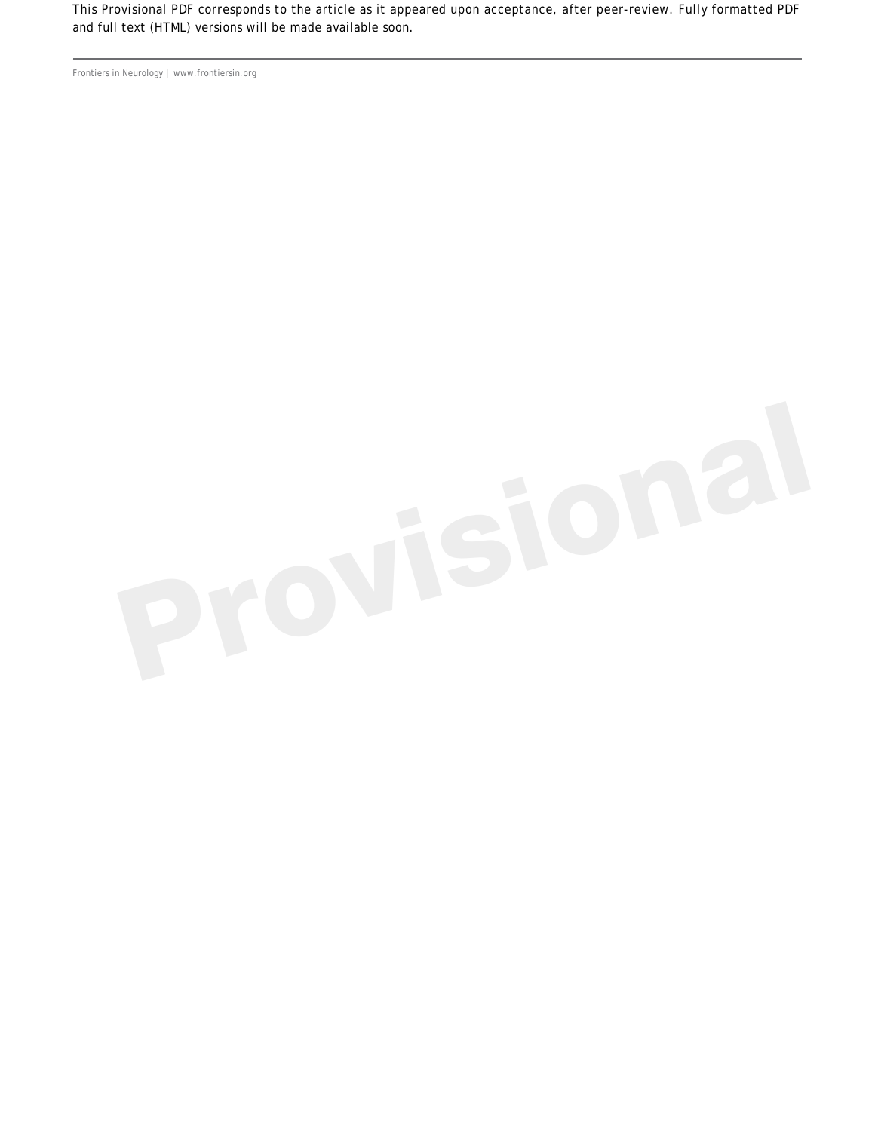This Provisional PDF corresponds to the article as it appeared upon acceptance, after peer-review. Fully formatted PDF and full text (HTML) versions will be made available soon.

Frontiers in Neurology | www.frontiersin.org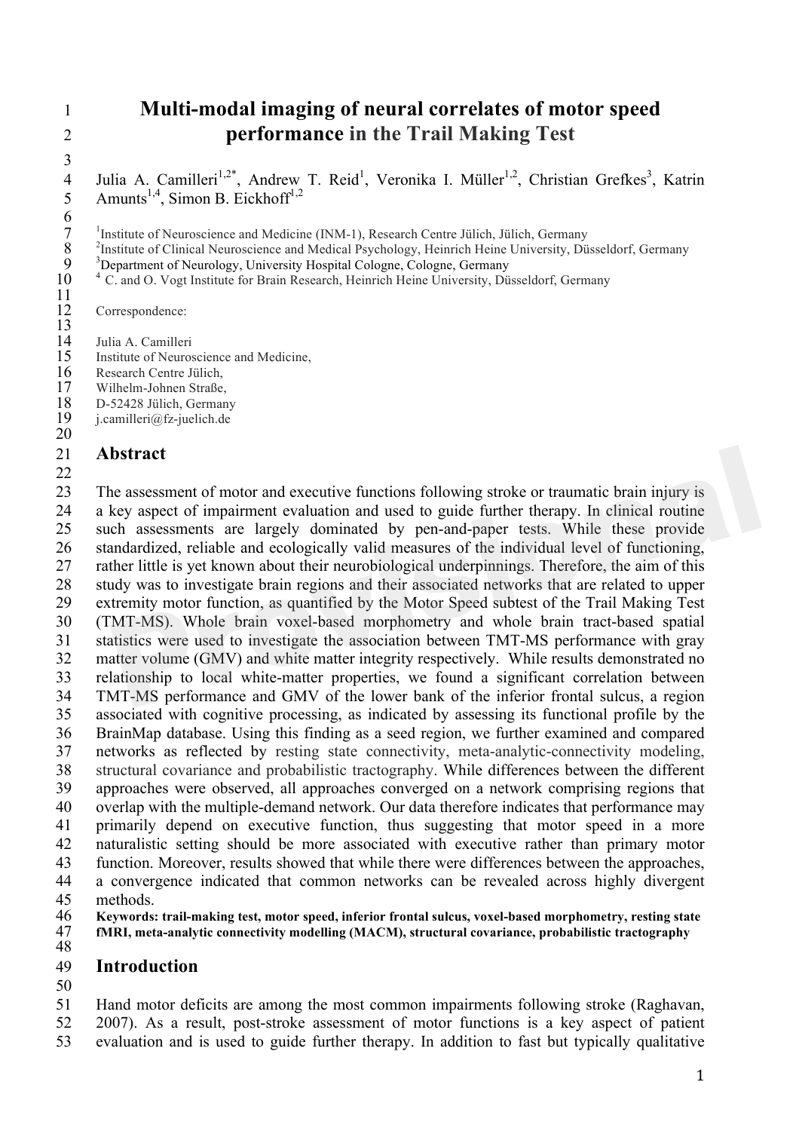# **Multi-modal imaging of neural correlates of motor speed performance in the Trail Making Test**

4 Julia A. Camilleri<sup>1,2\*</sup>, Andrew T. Reid<sup>1</sup>, Veronika I. Müller<sup>1,2</sup>, Christian Grefkes<sup>3</sup>, Katrin 5 Amunts<sup>1,4</sup>, Simon B. Eickhoff<sup>1,2</sup>

<sup>1</sup> Institute of Neuroscience and Medicine (INM-1), Research Centre Jülich, Jülich, Germany<br>
<sup>2</sup> Institute of Clinical Neuroscience and Medical Psychology, Heinrich Heine University, Düsseldorf, Germany<br>
<sup>3</sup> Department of

<sup>4</sup> C. and O. Vogt Institute for Brain Research, Heinrich Heine University, Düsseldorf, Germany

Correspondence:

 $\frac{12}{13}$ <br> $\frac{13}{14}$ 

- 14 Julia A. Camilleri<br>15 Institute of Neuros Institute of Neuroscience and Medicine,
- Research Centre Jülich,
- 17 Wilhelm-Johnen Straße,<br>18 D-52428 Jülich. German
- 18 D-52428 Jülich, Germany<br>19 i.camilleri@fz-juelich.de
- $j.camilleri@fz-juelich.de$

## **Abstract**

 The assessment of motor and executive functions following stroke or traumatic brain injury is a key aspect of impairment evaluation and used to guide further therapy. In clinical routine such assessments are largely dominated by pen-and-paper tests. While these provide standardized, reliable and ecologically valid measures of the individual level of functioning, rather little is yet known about their neurobiological underpinnings. Therefore, the aim of this study was to investigate brain regions and their associated networks that are related to upper extremity motor function, as quantified by the Motor Speed subtest of the Trail Making Test (TMT-MS). Whole brain voxel-based morphometry and whole brain tract-based spatial statistics were used to investigate the association between TMT-MS performance with gray matter volume (GMV) and white matter integrity respectively. While results demonstrated no relationship to local white-matter properties, we found a significant correlation between TMT-MS performance and GMV of the lower bank of the inferior frontal sulcus, a region associated with cognitive processing, as indicated by assessing its functional profile by the BrainMap database. Using this finding as a seed region, we further examined and compared networks as reflected by resting state connectivity, meta-analytic-connectivity modeling, structural covariance and probabilistic tractography. While differences between the different approaches were observed, all approaches converged on a network comprising regions that overlap with the multiple-demand network. Our data therefore indicates that performance may primarily depend on executive function, thus suggesting that motor speed in a more naturalistic setting should be more associated with executive rather than primary motor function. Moreover, results showed that while there were differences between the approaches, a convergence indicated that common networks can be revealed across highly divergent methods. **bstract**<br>**he** assessment of motor and executive functions following stroke or traumatic brain injury is<br>key aspect of impairment evaluation and used to guide further therapy. In clinical routine<br>ch assessments are largely

**Keywords: trail-making test, motor speed, inferior frontal sulcus, voxel-based morphometry, resting state** 

 **fMRI, meta-analytic connectivity modelling (MACM), structural covariance, probabilistic tractography** 

#### **Introduction**

 Hand motor deficits are among the most common impairments following stroke (Raghavan, 2007). As a result, post-stroke assessment of motor functions is a key aspect of patient

evaluation and is used to guide further therapy. In addition to fast but typically qualitative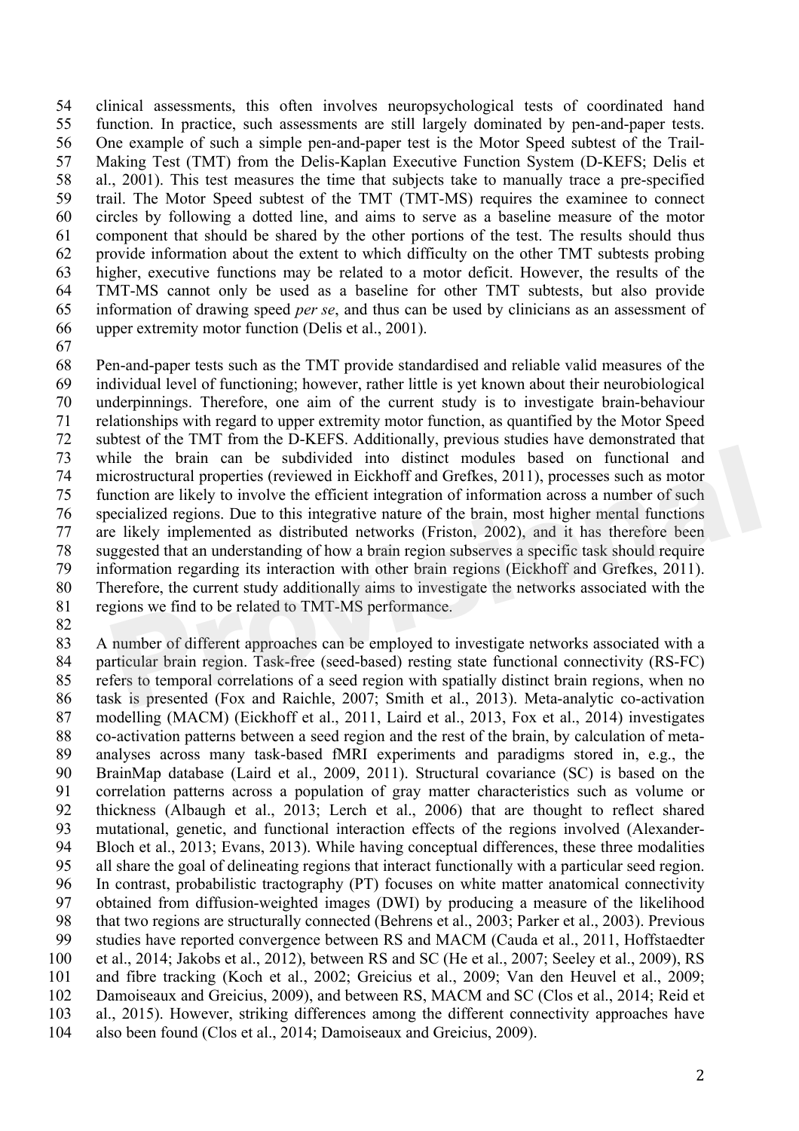clinical assessments, this often involves neuropsychological tests of coordinated hand function. In practice, such assessments are still largely dominated by pen-and-paper tests. One example of such a simple pen-and-paper test is the Motor Speed subtest of the Trail- Making Test (TMT) from the Delis-Kaplan Executive Function System (D-KEFS; Delis et al., 2001). This test measures the time that subjects take to manually trace a pre-specified trail. The Motor Speed subtest of the TMT (TMT-MS) requires the examinee to connect circles by following a dotted line, and aims to serve as a baseline measure of the motor component that should be shared by the other portions of the test. The results should thus provide information about the extent to which difficulty on the other TMT subtests probing higher, executive functions may be related to a motor deficit. However, the results of the TMT-MS cannot only be used as a baseline for other TMT subtests, but also provide information of drawing speed *per se*, and thus can be used by clinicians as an assessment of upper extremity motor function (Delis et al., 2001).

 Pen-and-paper tests such as the TMT provide standardised and reliable valid measures of the individual level of functioning; however, rather little is yet known about their neurobiological underpinnings. Therefore, one aim of the current study is to investigate brain-behaviour relationships with regard to upper extremity motor function, as quantified by the Motor Speed subtest of the TMT from the D-KEFS. Additionally, previous studies have demonstrated that while the brain can be subdivided into distinct modules based on functional and microstructural properties (reviewed in Eickhoff and Grefkes, 2011), processes such as motor function are likely to involve the efficient integration of information across a number of such specialized regions. Due to this integrative nature of the brain, most higher mental functions are likely implemented as distributed networks (Friston, 2002), and it has therefore been suggested that an understanding of how a brain region subserves a specific task should require information regarding its interaction with other brain regions (Eickhoff and Grefkes, 2011). Therefore, the current study additionally aims to investigate the networks associated with the regions we find to be related to TMT-MS performance. hile the brain can be subdivided into distinct modules based on functional and<br>icrostructural properties (reviewed in Eickhoff and Grefkes, 2011), processes such as motor<br>nection are likely to involve the efficient integra

 A number of different approaches can be employed to investigate networks associated with a particular brain region. Task-free (seed-based) resting state functional connectivity (RS-FC) refers to temporal correlations of a seed region with spatially distinct brain regions, when no task is presented (Fox and Raichle, 2007; Smith et al., 2013). Meta-analytic co-activation 87 modelling (MACM) (Eickhoff et al., 2011, Laird et al., 2013, Fox et al., 2014) investigates co-activation patterns between a seed region and the rest of the brain, by calculation of meta- analyses across many task-based fMRI experiments and paradigms stored in, e.g., the BrainMap database (Laird et al., 2009, 2011). Structural covariance (SC) is based on the correlation patterns across a population of gray matter characteristics such as volume or thickness (Albaugh et al., 2013; Lerch et al., 2006) that are thought to reflect shared mutational, genetic, and functional interaction effects of the regions involved (Alexander- Bloch et al., 2013; Evans, 2013). While having conceptual differences, these three modalities all share the goal of delineating regions that interact functionally with a particular seed region. In contrast, probabilistic tractography (PT) focuses on white matter anatomical connectivity obtained from diffusion-weighted images (DWI) by producing a measure of the likelihood that two regions are structurally connected (Behrens et al., 2003; Parker et al., 2003). Previous studies have reported convergence between RS and MACM (Cauda et al., 2011, Hoffstaedter et al., 2014; Jakobs et al., 2012), between RS and SC (He et al., 2007; Seeley et al., 2009), RS and fibre tracking (Koch et al., 2002; Greicius et al., 2009; Van den Heuvel et al., 2009; Damoiseaux and Greicius, 2009), and between RS, MACM and SC (Clos et al., 2014; Reid et al., 2015). However, striking differences among the different connectivity approaches have also been found (Clos et al., 2014; Damoiseaux and Greicius, 2009).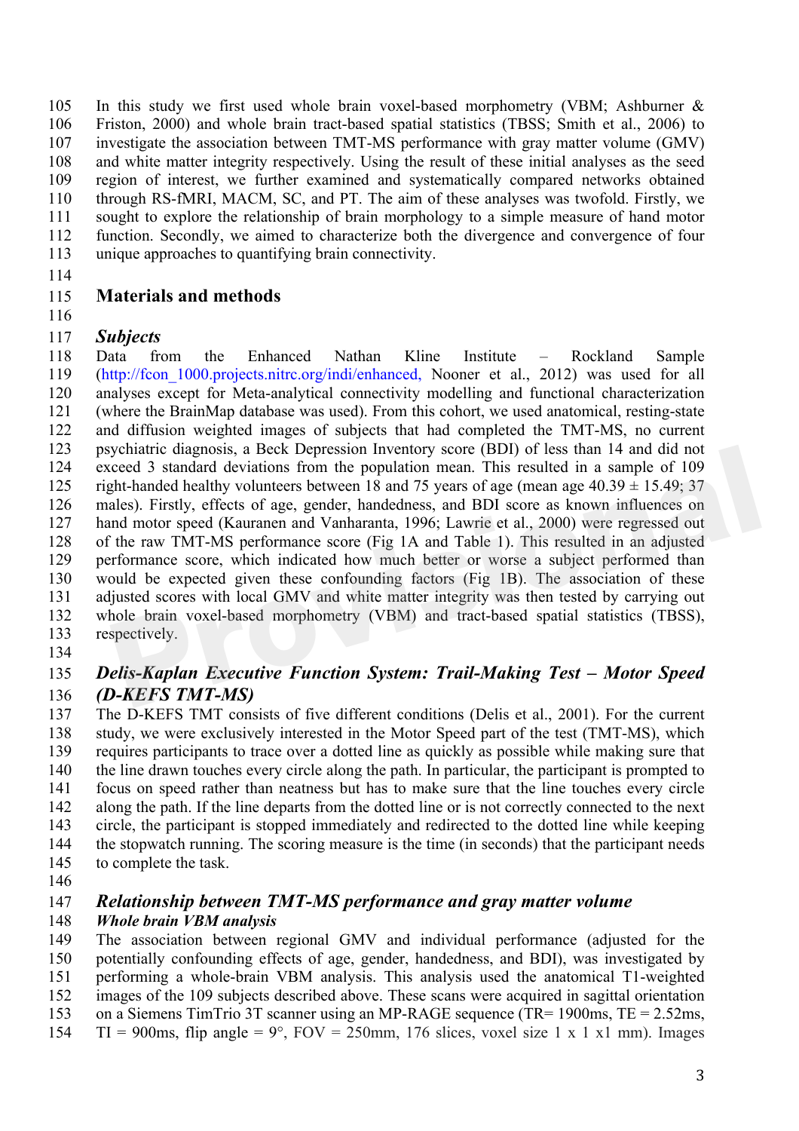In this study we first used whole brain voxel-based morphometry (VBM; Ashburner & Friston, 2000) and whole brain tract-based spatial statistics (TBSS; Smith et al., 2006) to investigate the association between TMT-MS performance with gray matter volume (GMV) and white matter integrity respectively. Using the result of these initial analyses as the seed region of interest, we further examined and systematically compared networks obtained through RS-fMRI, MACM, SC, and PT. The aim of these analyses was twofold. Firstly, we 111 sought to explore the relationship of brain morphology to a simple measure of hand motor function. Secondly, we aimed to characterize both the divergence and convergence of four unique approaches to quantifying brain connectivity.

## **Materials and methods**

## *Subjects*

 Data from the Enhanced Nathan Kline Institute – Rockland Sample (http://fcon\_1000.projects.nitrc.org/indi/enhanced, Nooner et al., 2012) was used for all analyses except for Meta-analytical connectivity modelling and functional characterization (where the BrainMap database was used). From this cohort, we used anatomical, resting-state and diffusion weighted images of subjects that had completed the TMT-MS, no current psychiatric diagnosis, a Beck Depression Inventory score (BDI) of less than 14 and did not exceed 3 standard deviations from the population mean. This resulted in a sample of 109 125 right-handed healthy volunteers between 18 and 75 years of age (mean age  $40.39 \pm 15.49$ ; 37 males). Firstly, effects of age, gender, handedness, and BDI score as known influences on hand motor speed (Kauranen and Vanharanta, 1996; Lawrie et al., 2000) were regressed out of the raw TMT-MS performance score (Fig 1A and Table 1). This resulted in an adjusted performance score, which indicated how much better or worse a subject performed than would be expected given these confounding factors (Fig 1B). The association of these adjusted scores with local GMV and white matter integrity was then tested by carrying out whole brain voxel-based morphometry (VBM) and tract-based spatial statistics (TBSS), respectively. ychiatric diagnosis, a Beck Depression Inventory score (BDI) of less than 14 and did not<br>cceed 3 standard deviations from the population mean. This resulted in a sample of 109<br>ph-handed healthy volutieres between 18 and 75

#### 

## *Delis-Kaplan Executive Function System: Trail-Making Test – Motor Speed (D-KEFS TMT-MS)*

 The D-KEFS TMT consists of five different conditions (Delis et al., 2001). For the current study, we were exclusively interested in the Motor Speed part of the test (TMT-MS), which requires participants to trace over a dotted line as quickly as possible while making sure that the line drawn touches every circle along the path. In particular, the participant is prompted to focus on speed rather than neatness but has to make sure that the line touches every circle along the path. If the line departs from the dotted line or is not correctly connected to the next circle, the participant is stopped immediately and redirected to the dotted line while keeping the stopwatch running. The scoring measure is the time (in seconds) that the participant needs to complete the task.

## *Relationship between TMT-MS performance and gray matter volume*

## *Whole brain VBM analysis*

 The association between regional GMV and individual performance (adjusted for the potentially confounding effects of age, gender, handedness, and BDI), was investigated by performing a whole-brain VBM analysis. This analysis used the anatomical T1-weighted

- images of the 109 subjects described above. These scans were acquired in sagittal orientation
- on a Siemens TimTrio 3T scanner using an MP-RAGE sequence (TR= 1900ms, TE = 2.52ms,
- 154  $TI = 900$ ms, flip angle = 9°,  $FOV = 250$ mm, 176 slices, voxel size 1 x 1 x 1 mm). Images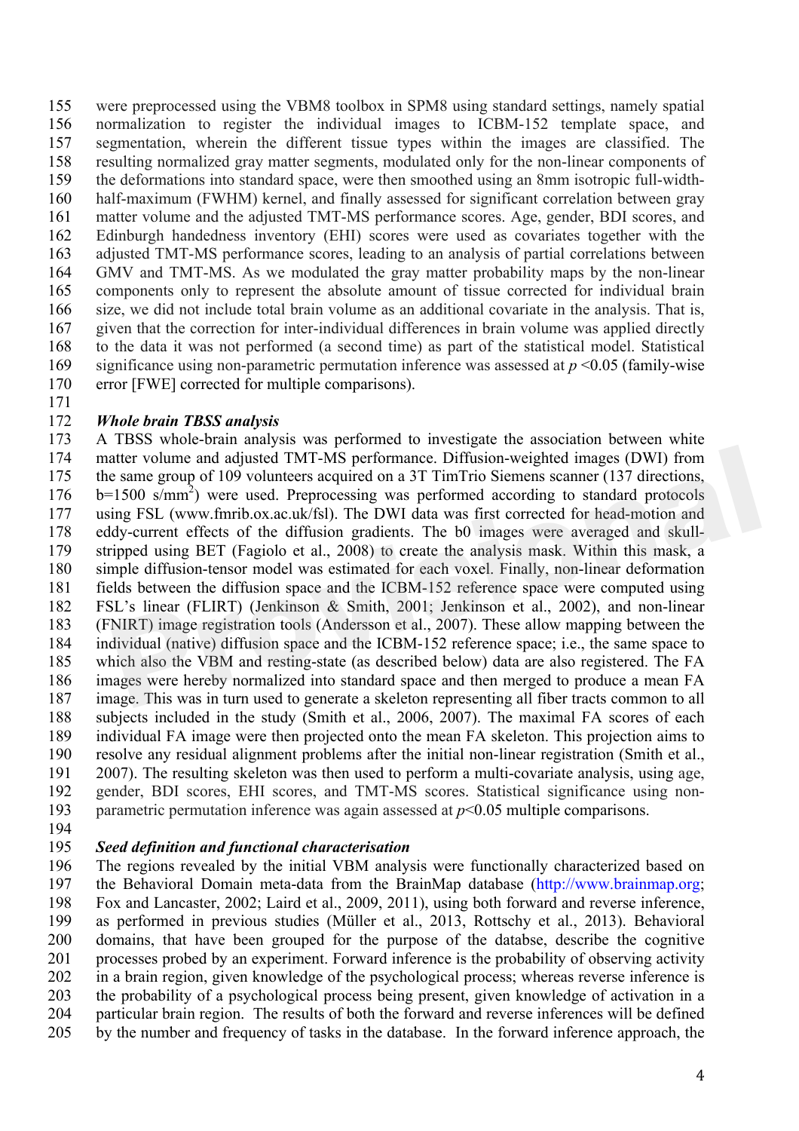were preprocessed using the VBM8 toolbox in SPM8 using standard settings, namely spatial normalization to register the individual images to ICBM-152 template space, and segmentation, wherein the different tissue types within the images are classified. The resulting normalized gray matter segments, modulated only for the non-linear components of the deformations into standard space, were then smoothed using an 8mm isotropic full-width- half-maximum (FWHM) kernel, and finally assessed for significant correlation between gray matter volume and the adjusted TMT-MS performance scores. Age, gender, BDI scores, and Edinburgh handedness inventory (EHI) scores were used as covariates together with the adjusted TMT-MS performance scores, leading to an analysis of partial correlations between GMV and TMT-MS. As we modulated the gray matter probability maps by the non-linear components only to represent the absolute amount of tissue corrected for individual brain size, we did not include total brain volume as an additional covariate in the analysis. That is, given that the correction for inter-individual differences in brain volume was applied directly to the data it was not performed (a second time) as part of the statistical model. Statistical significance using non-parametric permutation inference was assessed at *p* <0.05 (family-wise error [FWE] corrected for multiple comparisons).

#### *Whole brain TBSS analysis*

 A TBSS whole-brain analysis was performed to investigate the association between white matter volume and adjusted TMT-MS performance. Diffusion-weighted images (DWI) from the same group of 109 volunteers acquired on a 3T TimTrio Siemens scanner (137 directions,  $b=1500 \text{ s/mm}^2$  were used. Preprocessing was performed according to standard protocols using FSL (www.fmrib.ox.ac.uk/fsl). The DWI data was first corrected for head-motion and eddy-current effects of the diffusion gradients. The b0 images were averaged and skull- stripped using BET (Fagiolo et al., 2008) to create the analysis mask. Within this mask, a simple diffusion-tensor model was estimated for each voxel. Finally, non-linear deformation fields between the diffusion space and the ICBM-152 reference space were computed using FSL's linear (FLIRT) (Jenkinson & Smith, 2001; Jenkinson et al., 2002), and non-linear (FNIRT) image registration tools (Andersson et al., 2007). These allow mapping between the individual (native) diffusion space and the ICBM-152 reference space; i.e., the same space to which also the VBM and resting-state (as described below) data are also registered. The FA images were hereby normalized into standard space and then merged to produce a mean FA image. This was in turn used to generate a skeleton representing all fiber tracts common to all subjects included in the study (Smith et al., 2006, 2007). The maximal FA scores of each individual FA image were then projected onto the mean FA skeleton. This projection aims to resolve any residual alignment problems after the initial non-linear registration (Smith et al., 2007). The resulting skeleton was then used to perform a multi-covariate analysis, using age, gender, BDI scores, EHI scores, and TMT-MS scores. Statistical significance using non-193 parametric permutation inference was again assessed at  $p$ <0.05 multiple comparisons. atter volume and adjusted TMT-MS performance. Diffusion-weighted images (DWI) from<br>e same group of 109 volunteers acquired on a 3T TimTrio Siemens scanner (137 directions,<br>r=1500 s/mm<sup>2</sup>) were used. Preprocessing was perfo

#### *Seed definition and functional characterisation*

 The regions revealed by the initial VBM analysis were functionally characterized based on the Behavioral Domain meta-data from the BrainMap database (http://www.brainmap.org; Fox and Lancaster, 2002; Laird et al., 2009, 2011), using both forward and reverse inference, as performed in previous studies (Müller et al., 2013, Rottschy et al., 2013). Behavioral domains, that have been grouped for the purpose of the databse, describe the cognitive processes probed by an experiment. Forward inference is the probability of observing activity in a brain region, given knowledge of the psychological process; whereas reverse inference is the probability of a psychological process being present, given knowledge of activation in a particular brain region. The results of both the forward and reverse inferences will be defined by the number and frequency of tasks in the database. In the forward inference approach, the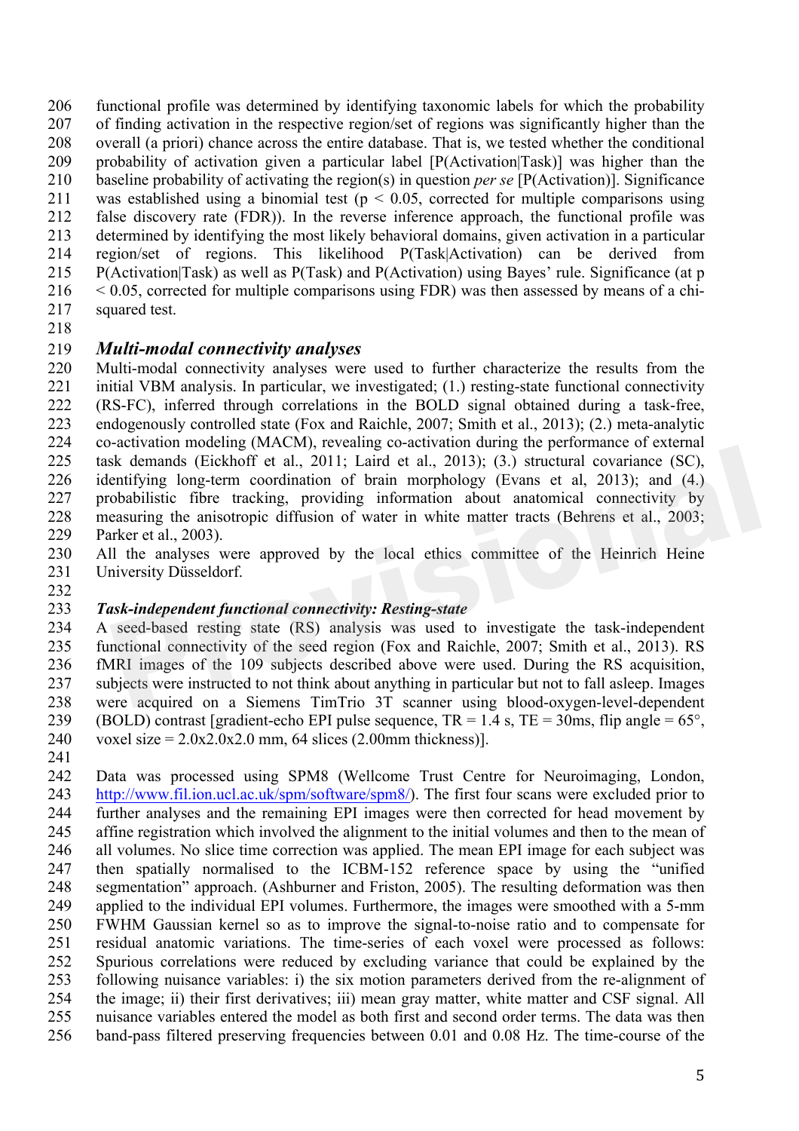functional profile was determined by identifying taxonomic labels for which the probability of finding activation in the respective region/set of regions was significantly higher than the overall (a priori) chance across the entire database. That is, we tested whether the conditional probability of activation given a particular label [P(Activation|Task)] was higher than the baseline probability of activating the region(s) in question *per se* [P(Activation)]. Significance 211 was established using a binomial test ( $p < 0.05$ , corrected for multiple comparisons using false discovery rate (FDR)). In the reverse inference approach, the functional profile was determined by identifying the most likely behavioral domains, given activation in a particular region/set of regions. This likelihood P(Task|Activation) can be derived from P(Activation|Task) as well as P(Task) and P(Activation) using Bayes' rule. Significance (at p < 0.05, corrected for multiple comparisons using FDR) was then assessed by means of a chi-squared test.

#### *Multi-modal connectivity analyses*

 Multi-modal connectivity analyses were used to further characterize the results from the initial VBM analysis. In particular, we investigated; (1.) resting-state functional connectivity (RS-FC), inferred through correlations in the BOLD signal obtained during a task-free, endogenously controlled state (Fox and Raichle, 2007; Smith et al., 2013); (2.) meta-analytic co-activation modeling (MACM), revealing co-activation during the performance of external task demands (Eickhoff et al., 2011; Laird et al., 2013); (3.) structural covariance (SC), identifying long-term coordination of brain morphology (Evans et al, 2013); and (4.) probabilistic fibre tracking, providing information about anatomical connectivity by measuring the anisotropic diffusion of water in white matter tracts (Behrens et al., 2003; Parker et al., 2003). activation incouring (interesting constrained the selection of the selection of the selection of the tal., 2011; Laird et al., 2013); (3.) structural covariance (SC), entifying long-term coordination of brain morphology (E

- All the analyses were approved by the local ethics committee of the Heinrich Heine University Düsseldorf.
- 

#### *Task-independent functional connectivity: Resting-state*

 A seed-based resting state (RS) analysis was used to investigate the task-independent functional connectivity of the seed region (Fox and Raichle, 2007; Smith et al., 2013). RS fMRI images of the 109 subjects described above were used. During the RS acquisition, subjects were instructed to not think about anything in particular but not to fall asleep. Images were acquired on a Siemens TimTrio 3T scanner using blood-oxygen-level-dependent 239 (BOLD) contrast [gradient-echo EPI pulse sequence,  $TR = 1.4$  s,  $TE = 30$ ms, flip angle = 65°, 240 voxel size =  $2.0x2.0x2.0$  mm, 64 slices (2.00mm thickness)].

 Data was processed using SPM8 (Wellcome Trust Centre for Neuroimaging, London, http://www.fil.ion.ucl.ac.uk/spm/software/spm8/). The first four scans were excluded prior to further analyses and the remaining EPI images were then corrected for head movement by affine registration which involved the alignment to the initial volumes and then to the mean of all volumes. No slice time correction was applied. The mean EPI image for each subject was then spatially normalised to the ICBM-152 reference space by using the "unified segmentation" approach. (Ashburner and Friston, 2005). The resulting deformation was then applied to the individual EPI volumes. Furthermore, the images were smoothed with a 5-mm FWHM Gaussian kernel so as to improve the signal-to-noise ratio and to compensate for residual anatomic variations. The time-series of each voxel were processed as follows: Spurious correlations were reduced by excluding variance that could be explained by the following nuisance variables: i) the six motion parameters derived from the re-alignment of the image; ii) their first derivatives; iii) mean gray matter, white matter and CSF signal. All nuisance variables entered the model as both first and second order terms. The data was then band-pass filtered preserving frequencies between 0.01 and 0.08 Hz. The time-course of the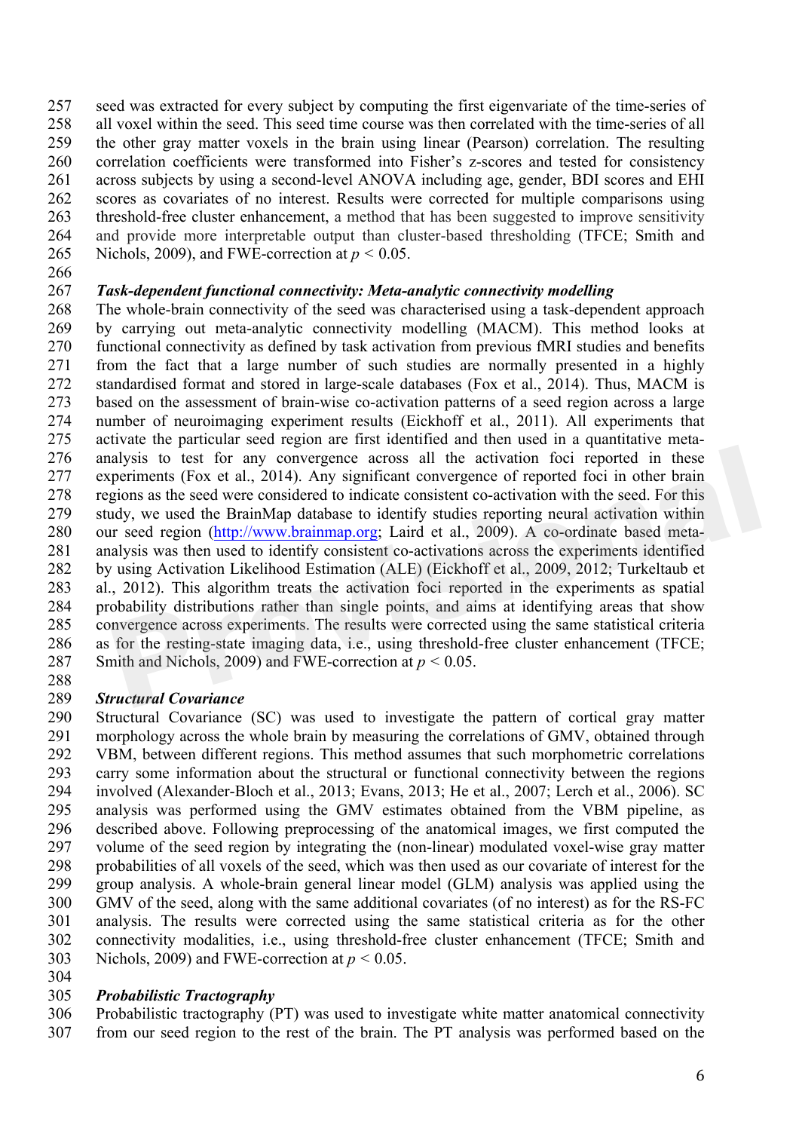seed was extracted for every subject by computing the first eigenvariate of the time-series of all voxel within the seed. This seed time course was then correlated with the time-series of all the other gray matter voxels in the brain using linear (Pearson) correlation. The resulting correlation coefficients were transformed into Fisher's z-scores and tested for consistency across subjects by using a second-level ANOVA including age, gender, BDI scores and EHI scores as covariates of no interest. Results were corrected for multiple comparisons using threshold-free cluster enhancement, a method that has been suggested to improve sensitivity and provide more interpretable output than cluster-based thresholding (TFCE; Smith and 265 Nichols, 2009), and FWE-correction at  $p < 0.05$ .

#### *Task-dependent functional connectivity: Meta-analytic connectivity modelling*

 The whole-brain connectivity of the seed was characterised using a task-dependent approach by carrying out meta-analytic connectivity modelling (MACM). This method looks at functional connectivity as defined by task activation from previous fMRI studies and benefits from the fact that a large number of such studies are normally presented in a highly standardised format and stored in large-scale databases (Fox et al., 2014). Thus, MACM is based on the assessment of brain-wise co-activation patterns of a seed region across a large number of neuroimaging experiment results (Eickhoff et al., 2011). All experiments that activate the particular seed region are first identified and then used in a quantitative meta- analysis to test for any convergence across all the activation foci reported in these experiments (Fox et al., 2014). Any significant convergence of reported foci in other brain regions as the seed were considered to indicate consistent co-activation with the seed. For this study, we used the BrainMap database to identify studies reporting neural activation within our seed region (http://www.brainmap.org; Laird et al., 2009). A co-ordinate based meta- analysis was then used to identify consistent co-activations across the experiments identified by using Activation Likelihood Estimation (ALE) (Eickhoff et al., 2009, 2012; Turkeltaub et al., 2012). This algorithm treats the activation foci reported in the experiments as spatial probability distributions rather than single points, and aims at identifying areas that show convergence across experiments. The results were corrected using the same statistical criteria as for the resting-state imaging data, i.e., using threshold-free cluster enhancement (TFCE; 287 Smith and Nichols, 2009) and FWE-correction at  $p < 0.05$ . alysis to test for any convergence across all the activation foci reported in these<br>periments (Fox et al., 2014). Any significant convergence of reported foci in other brain<br>gions as the seed were considered to indicate c

#### *Structural Covariance*

 Structural Covariance (SC) was used to investigate the pattern of cortical gray matter morphology across the whole brain by measuring the correlations of GMV, obtained through VBM, between different regions. This method assumes that such morphometric correlations carry some information about the structural or functional connectivity between the regions involved (Alexander-Bloch et al., 2013; Evans, 2013; He et al., 2007; Lerch et al., 2006). SC analysis was performed using the GMV estimates obtained from the VBM pipeline, as described above. Following preprocessing of the anatomical images, we first computed the volume of the seed region by integrating the (non-linear) modulated voxel-wise gray matter probabilities of all voxels of the seed, which was then used as our covariate of interest for the group analysis. A whole-brain general linear model (GLM) analysis was applied using the GMV of the seed, along with the same additional covariates (of no interest) as for the RS-FC analysis. The results were corrected using the same statistical criteria as for the other connectivity modalities, i.e., using threshold-free cluster enhancement (TFCE; Smith and 303 Nichols, 2009) and FWE-correction at  $p < 0.05$ .

#### *Probabilistic Tractography*

 Probabilistic tractography (PT) was used to investigate white matter anatomical connectivity from our seed region to the rest of the brain. The PT analysis was performed based on the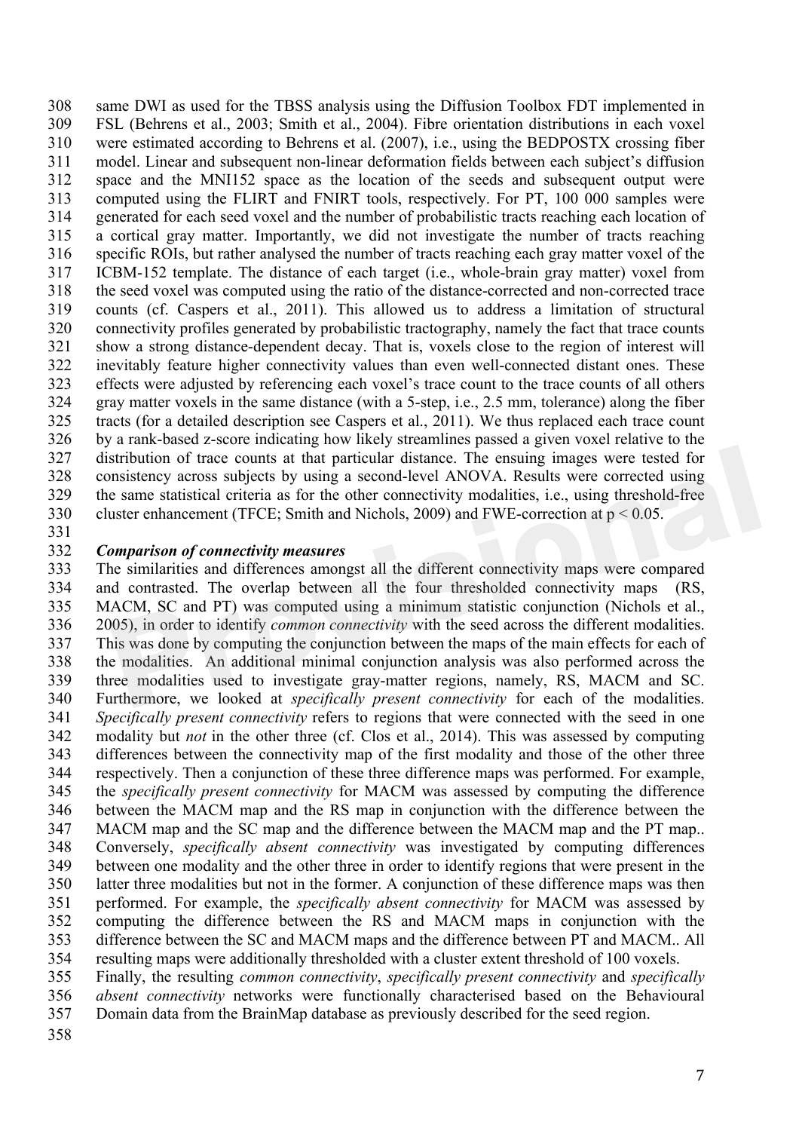same DWI as used for the TBSS analysis using the Diffusion Toolbox FDT implemented in FSL (Behrens et al., 2003; Smith et al., 2004). Fibre orientation distributions in each voxel were estimated according to Behrens et al. (2007), i.e., using the BEDPOSTX crossing fiber model. Linear and subsequent non-linear deformation fields between each subject's diffusion space and the MNI152 space as the location of the seeds and subsequent output were computed using the FLIRT and FNIRT tools, respectively. For PT, 100 000 samples were generated for each seed voxel and the number of probabilistic tracts reaching each location of a cortical gray matter. Importantly, we did not investigate the number of tracts reaching specific ROIs, but rather analysed the number of tracts reaching each gray matter voxel of the ICBM-152 template. The distance of each target (i.e., whole-brain gray matter) voxel from the seed voxel was computed using the ratio of the distance-corrected and non-corrected trace counts (cf. Caspers et al., 2011). This allowed us to address a limitation of structural connectivity profiles generated by probabilistic tractography, namely the fact that trace counts show a strong distance-dependent decay. That is, voxels close to the region of interest will inevitably feature higher connectivity values than even well-connected distant ones. These effects were adjusted by referencing each voxel's trace count to the trace counts of all others gray matter voxels in the same distance (with a 5-step, i.e., 2.5 mm, tolerance) along the fiber tracts (for a detailed description see Caspers et al., 2011). We thus replaced each trace count by a rank-based z-score indicating how likely streamlines passed a given voxel relative to the distribution of trace counts at that particular distance. The ensuing images were tested for consistency across subjects by using a second-level ANOVA. Results were corrected using the same statistical criteria as for the other connectivity modalities, i.e., using threshold-free cluster enhancement (TFCE; Smith and Nichols, 2009) and FWE-correction at p < 0.05.

#### *Comparison of connectivity measures*

 The similarities and differences amongst all the different connectivity maps were compared and contrasted. The overlap between all the four thresholded connectivity maps (RS, MACM, SC and PT) was computed using a minimum statistic conjunction (Nichols et al., 2005), in order to identify *common connectivity* with the seed across the different modalities. This was done by computing the conjunction between the maps of the main effects for each of the modalities. An additional minimal conjunction analysis was also performed across the three modalities used to investigate gray-matter regions, namely, RS, MACM and SC. Furthermore, we looked at *specifically present connectivity* for each of the modalities. *Specifically present connectivity* refers to regions that were connected with the seed in one modality but *not* in the other three (cf. Clos et al., 2014). This was assessed by computing differences between the connectivity map of the first modality and those of the other three respectively. Then a conjunction of these three difference maps was performed. For example, the *specifically present connectivity* for MACM was assessed by computing the difference between the MACM map and the RS map in conjunction with the difference between the MACM map and the SC map and the difference between the MACM map and the PT map.. Conversely, *specifically absent connectivity* was investigated by computing differences between one modality and the other three in order to identify regions that were present in the latter three modalities but not in the former. A conjunction of these difference maps was then performed. For example, the *specifically absent connectivity* for MACM was assessed by computing the difference between the RS and MACM maps in conjunction with the difference between the SC and MACM maps and the difference between PT and MACM.. All resulting maps were additionally thresholded with a cluster extent threshold of 100 voxels. stribution of trace counts at that particular distance. The ensuing images were tested for msistency across subjects by using a second-level ANOVA. Results were corrected using e same statistical criteria as for the other

 Finally, the resulting *common connectivity*, *specifically present connectivity* and *specifically absent connectivity* networks were functionally characterised based on the Behavioural Domain data from the BrainMap database as previously described for the seed region.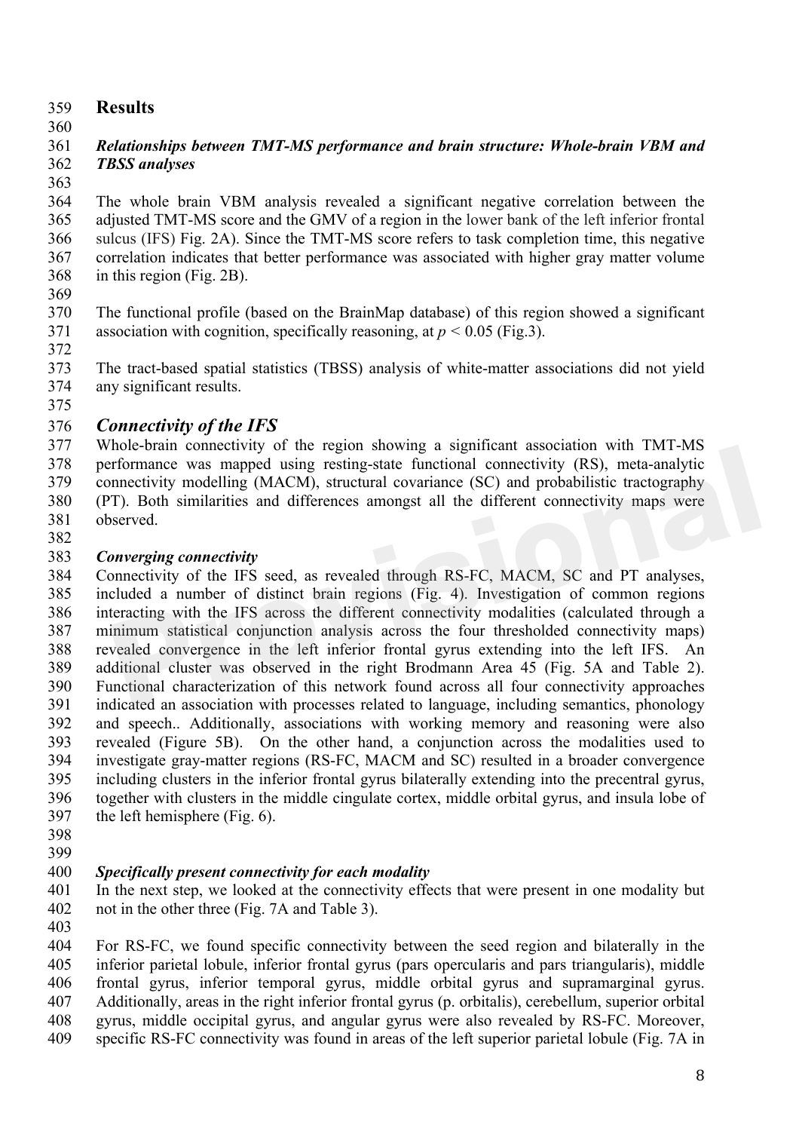## **Results**

## *Relationships between TMT-MS performance and brain structure: Whole-brain VBM and TBSS analyses*

 The whole brain VBM analysis revealed a significant negative correlation between the adjusted TMT-MS score and the GMV of a region in the lower bank of the left inferior frontal sulcus (IFS) Fig. 2A). Since the TMT-MS score refers to task completion time, this negative correlation indicates that better performance was associated with higher gray matter volume in this region (Fig. 2B).

 The functional profile (based on the BrainMap database) of this region showed a significant 371 association with cognition, specifically reasoning, at  $p < 0.05$  (Fig.3).

 The tract-based spatial statistics (TBSS) analysis of white-matter associations did not yield any significant results.

## *Connectivity of the IFS*

 Whole-brain connectivity of the region showing a significant association with TMT-MS 378 performance was mapped using resting-state functional connectivity (RS), meta-analytic<br>379 connectivity modelling (MACM) structural covariance (SC) and probabilistic tractography connectivity modelling (MACM), structural covariance (SC) and probabilistic tractography (PT). Both similarities and differences amongst all the different connectivity maps were observed. 

## *Converging connectivity*

 Connectivity of the IFS seed, as revealed through RS-FC, MACM, SC and PT analyses, included a number of distinct brain regions (Fig. 4). Investigation of common regions interacting with the IFS across the different connectivity modalities (calculated through a minimum statistical conjunction analysis across the four thresholded connectivity maps) revealed convergence in the left inferior frontal gyrus extending into the left IFS. An additional cluster was observed in the right Brodmann Area 45 (Fig. 5A and Table 2). Functional characterization of this network found across all four connectivity approaches indicated an association with processes related to language, including semantics, phonology and speech.. Additionally, associations with working memory and reasoning were also revealed (Figure 5B). On the other hand, a conjunction across the modalities used to investigate gray-matter regions (RS-FC, MACM and SC) resulted in a broader convergence including clusters in the inferior frontal gyrus bilaterally extending into the precentral gyrus, together with clusters in the middle cingulate cortex, middle orbital gyrus, and insula lobe of the left hemisphere (Fig. 6). Hote-brain connectivity of the region showing a significant association with TNT-NIS<br>
reformance was mapped using resting-state functional connectivity (RS), meta-analytic<br>
metetivity modelling (MACM), structural covarianc

 

## *Specifically present connectivity for each modality*

 In the next step, we looked at the connectivity effects that were present in one modality but not in the other three (Fig. 7A and Table 3).

 For RS-FC, we found specific connectivity between the seed region and bilaterally in the inferior parietal lobule, inferior frontal gyrus (pars opercularis and pars triangularis), middle frontal gyrus, inferior temporal gyrus, middle orbital gyrus and supramarginal gyrus. Additionally, areas in the right inferior frontal gyrus (p. orbitalis), cerebellum, superior orbital gyrus, middle occipital gyrus, and angular gyrus were also revealed by RS-FC. Moreover, specific RS-FC connectivity was found in areas of the left superior parietal lobule (Fig. 7A in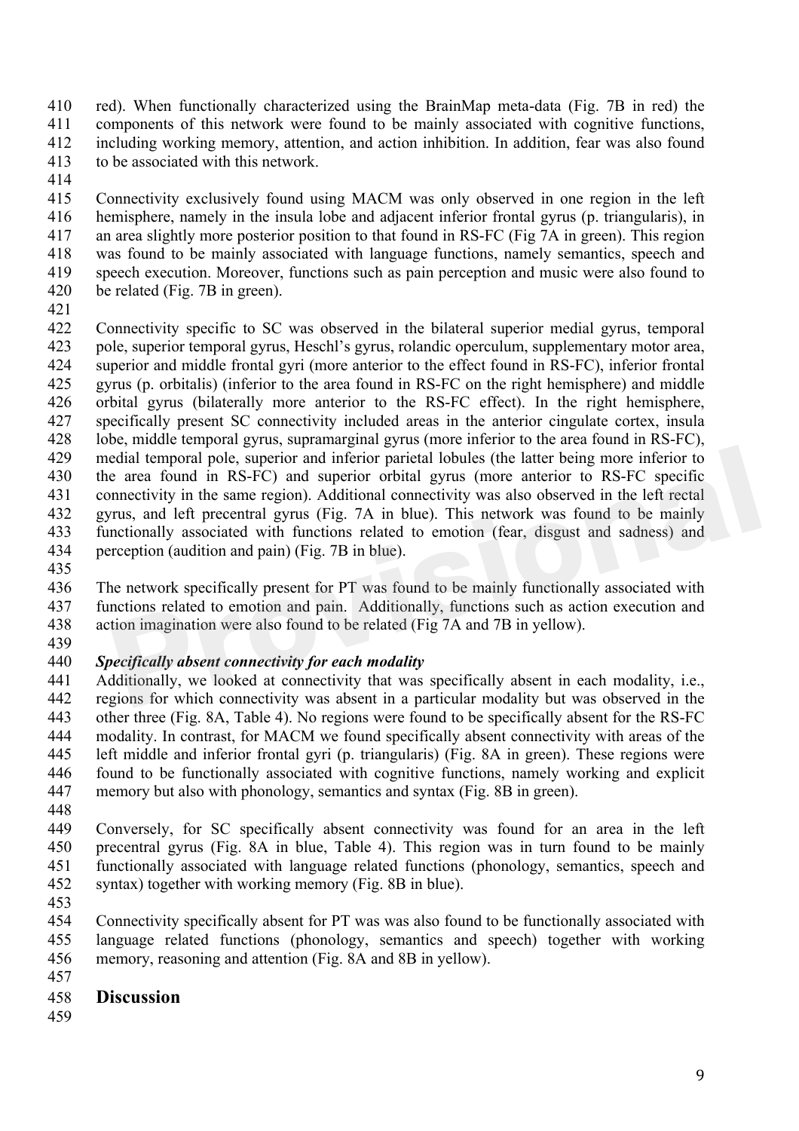red). When functionally characterized using the BrainMap meta-data (Fig. 7B in red) the components of this network were found to be mainly associated with cognitive functions, including working memory, attention, and action inhibition. In addition, fear was also found to be associated with this network.

 Connectivity exclusively found using MACM was only observed in one region in the left hemisphere, namely in the insula lobe and adjacent inferior frontal gyrus (p. triangularis), in an area slightly more posterior position to that found in RS-FC (Fig 7A in green). This region was found to be mainly associated with language functions, namely semantics, speech and speech execution. Moreover, functions such as pain perception and music were also found to be related (Fig. 7B in green).

 Connectivity specific to SC was observed in the bilateral superior medial gyrus, temporal pole, superior temporal gyrus, Heschl's gyrus, rolandic operculum, supplementary motor area, superior and middle frontal gyri (more anterior to the effect found in RS-FC), inferior frontal gyrus (p. orbitalis) (inferior to the area found in RS-FC on the right hemisphere) and middle orbital gyrus (bilaterally more anterior to the RS-FC effect). In the right hemisphere, specifically present SC connectivity included areas in the anterior cingulate cortex, insula lobe, middle temporal gyrus, supramarginal gyrus (more inferior to the area found in RS-FC), medial temporal pole, superior and inferior parietal lobules (the latter being more inferior to the area found in RS-FC) and superior orbital gyrus (more anterior to RS-FC specific connectivity in the same region). Additional connectivity was also observed in the left rectal gyrus, and left precentral gyrus (Fig. 7A in blue). This network was found to be mainly functionally associated with functions related to emotion (fear, disgust and sadness) and perception (audition and pain) (Fig. 7B in blue). edial temporal pole, superior and inferior parietal lobules (the latter being more inferior to<br>e area found in RS-FC) and superior orbital gyrus (more anterior to RS-FC specific<br>nnectivity in the same region). Additional c

 The network specifically present for PT was found to be mainly functionally associated with functions related to emotion and pain. Additionally, functions such as action execution and action imagination were also found to be related (Fig 7A and 7B in yellow).

#### *Specifically absent connectivity for each modality*

 Additionally, we looked at connectivity that was specifically absent in each modality, i.e., regions for which connectivity was absent in a particular modality but was observed in the other three (Fig. 8A, Table 4). No regions were found to be specifically absent for the RS-FC modality. In contrast, for MACM we found specifically absent connectivity with areas of the left middle and inferior frontal gyri (p. triangularis) (Fig. 8A in green). These regions were found to be functionally associated with cognitive functions, namely working and explicit memory but also with phonology, semantics and syntax (Fig. 8B in green).

 Conversely, for SC specifically absent connectivity was found for an area in the left precentral gyrus (Fig. 8A in blue, Table 4). This region was in turn found to be mainly functionally associated with language related functions (phonology, semantics, speech and syntax) together with working memory (Fig. 8B in blue).

 Connectivity specifically absent for PT was was also found to be functionally associated with language related functions (phonology, semantics and speech) together with working memory, reasoning and attention (Fig. 8A and 8B in yellow).

## **Discussion**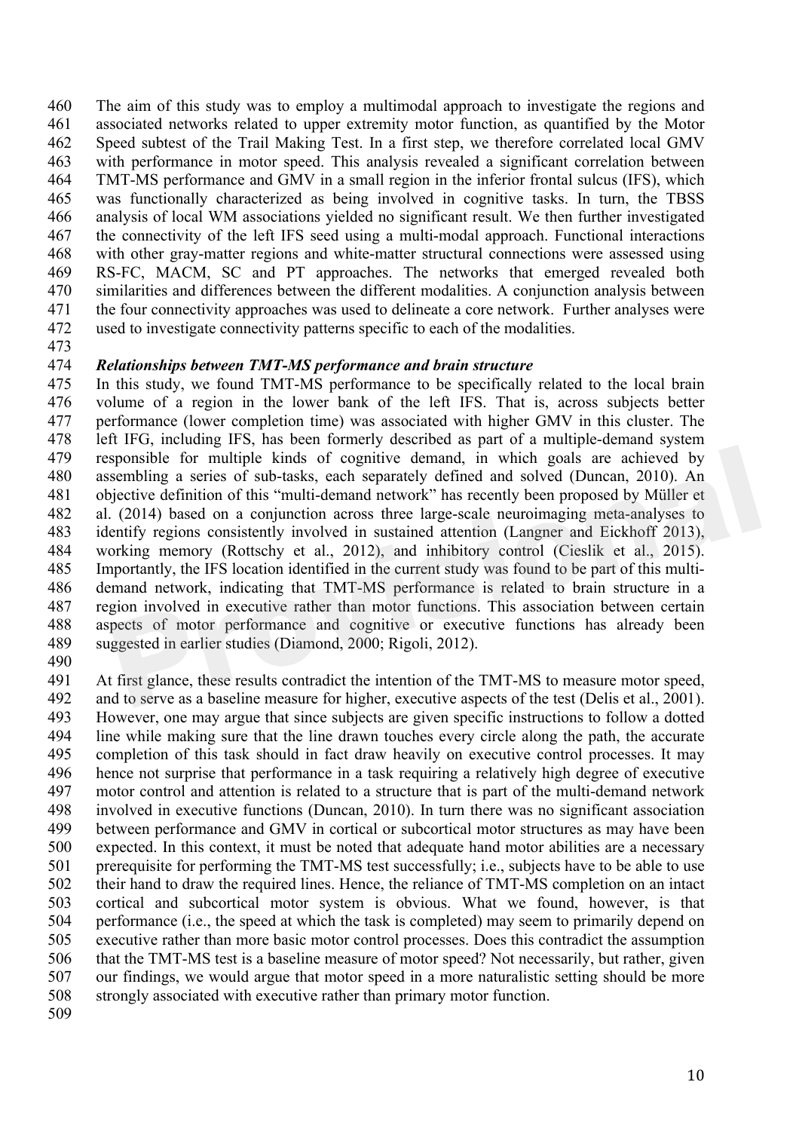The aim of this study was to employ a multimodal approach to investigate the regions and associated networks related to upper extremity motor function, as quantified by the Motor Speed subtest of the Trail Making Test. In a first step, we therefore correlated local GMV with performance in motor speed. This analysis revealed a significant correlation between TMT-MS performance and GMV in a small region in the inferior frontal sulcus (IFS), which was functionally characterized as being involved in cognitive tasks. In turn, the TBSS analysis of local WM associations yielded no significant result. We then further investigated the connectivity of the left IFS seed using a multi-modal approach. Functional interactions with other gray-matter regions and white-matter structural connections were assessed using RS-FC, MACM, SC and PT approaches. The networks that emerged revealed both similarities and differences between the different modalities. A conjunction analysis between the four connectivity approaches was used to delineate a core network. Further analyses were used to investigate connectivity patterns specific to each of the modalities.

#### *Relationships between TMT-MS performance and brain structure*

 In this study, we found TMT-MS performance to be specifically related to the local brain volume of a region in the lower bank of the left IFS. That is, across subjects better performance (lower completion time) was associated with higher GMV in this cluster. The left IFG, including IFS, has been formerly described as part of a multiple-demand system responsible for multiple kinds of cognitive demand, in which goals are achieved by assembling a series of sub-tasks, each separately defined and solved (Duncan, 2010). An objective definition of this "multi-demand network" has recently been proposed by Müller et al. (2014) based on a conjunction across three large-scale neuroimaging meta-analyses to identify regions consistently involved in sustained attention (Langner and Eickhoff 2013), working memory (Rottschy et al., 2012), and inhibitory control (Cieslik et al., 2015). Importantly, the IFS location identified in the current study was found to be part of this multi- demand network, indicating that TMT-MS performance is related to brain structure in a region involved in executive rather than motor functions. This association between certain aspects of motor performance and cognitive or executive functions has already been suggested in earlier studies (Diamond, 2000; Rigoli, 2012). sponsible for multiple kinds of cognitive demand, in which goals are achieved by<br>sembling a series of sub-tasks, each separately defined and solved (Duncan, 2010). An<br>igective definition of this "multi-demand network" has

 At first glance, these results contradict the intention of the TMT-MS to measure motor speed, and to serve as a baseline measure for higher, executive aspects of the test (Delis et al., 2001). However, one may argue that since subjects are given specific instructions to follow a dotted line while making sure that the line drawn touches every circle along the path, the accurate completion of this task should in fact draw heavily on executive control processes. It may hence not surprise that performance in a task requiring a relatively high degree of executive motor control and attention is related to a structure that is part of the multi-demand network involved in executive functions (Duncan, 2010). In turn there was no significant association between performance and GMV in cortical or subcortical motor structures as may have been expected. In this context, it must be noted that adequate hand motor abilities are a necessary prerequisite for performing the TMT-MS test successfully; i.e., subjects have to be able to use their hand to draw the required lines. Hence, the reliance of TMT-MS completion on an intact cortical and subcortical motor system is obvious. What we found, however, is that performance (i.e., the speed at which the task is completed) may seem to primarily depend on executive rather than more basic motor control processes. Does this contradict the assumption that the TMT-MS test is a baseline measure of motor speed? Not necessarily, but rather, given our findings, we would argue that motor speed in a more naturalistic setting should be more strongly associated with executive rather than primary motor function.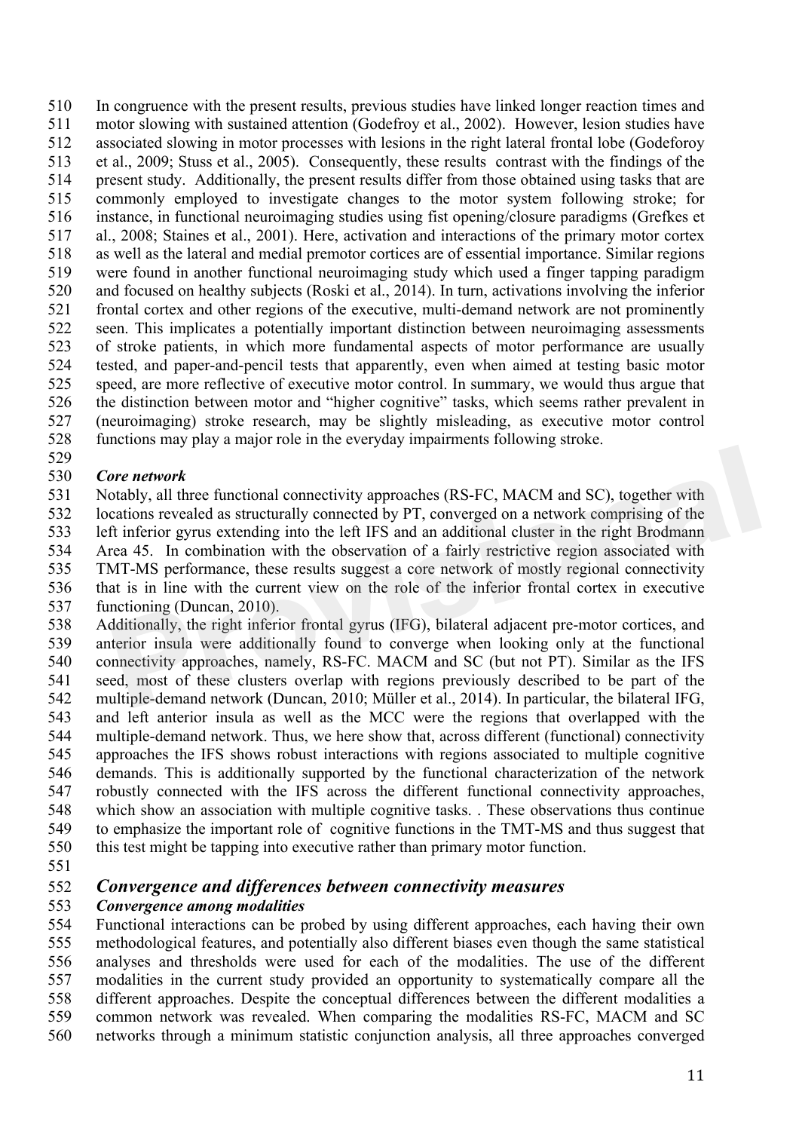In congruence with the present results, previous studies have linked longer reaction times and motor slowing with sustained attention (Godefroy et al., 2002). However, lesion studies have associated slowing in motor processes with lesions in the right lateral frontal lobe (Godeforoy et al., 2009; Stuss et al., 2005). Consequently, these results contrast with the findings of the present study. Additionally, the present results differ from those obtained using tasks that are commonly employed to investigate changes to the motor system following stroke; for instance, in functional neuroimaging studies using fist opening/closure paradigms (Grefkes et al., 2008; Staines et al., 2001). Here, activation and interactions of the primary motor cortex as well as the lateral and medial premotor cortices are of essential importance. Similar regions were found in another functional neuroimaging study which used a finger tapping paradigm and focused on healthy subjects (Roski et al., 2014). In turn, activations involving the inferior frontal cortex and other regions of the executive, multi-demand network are not prominently seen. This implicates a potentially important distinction between neuroimaging assessments of stroke patients, in which more fundamental aspects of motor performance are usually tested, and paper-and-pencil tests that apparently, even when aimed at testing basic motor speed, are more reflective of executive motor control. In summary, we would thus argue that the distinction between motor and "higher cognitive" tasks, which seems rather prevalent in (neuroimaging) stroke research, may be slightly misleading, as executive motor control functions may play a major role in the everyday impairments following stroke.

#### 

#### *Core network*

 Notably, all three functional connectivity approaches (RS-FC, MACM and SC), together with locations revealed as structurally connected by PT, converged on a network comprising of the left inferior gyrus extending into the left IFS and an additional cluster in the right Brodmann Area 45. In combination with the observation of a fairly restrictive region associated with TMT-MS performance, these results suggest a core network of mostly regional connectivity that is in line with the current view on the role of the inferior frontal cortex in executive functioning (Duncan, 2010). **Provident**<br> **Provident** and SC), together with<br>
totably, all three functional connectivity approaches (RS-FC, MACM and SC), together with<br>
timefric gyrus extending into the left IFS and an andditional cluster in the right

 Additionally, the right inferior frontal gyrus (IFG), bilateral adjacent pre-motor cortices, and anterior insula were additionally found to converge when looking only at the functional connectivity approaches, namely, RS-FC. MACM and SC (but not PT). Similar as the IFS seed, most of these clusters overlap with regions previously described to be part of the multiple-demand network (Duncan, 2010; Müller et al., 2014). In particular, the bilateral IFG, and left anterior insula as well as the MCC were the regions that overlapped with the multiple-demand network. Thus, we here show that, across different (functional) connectivity approaches the IFS shows robust interactions with regions associated to multiple cognitive demands. This is additionally supported by the functional characterization of the network robustly connected with the IFS across the different functional connectivity approaches, which show an association with multiple cognitive tasks. . These observations thus continue to emphasize the important role of cognitive functions in the TMT-MS and thus suggest that this test might be tapping into executive rather than primary motor function.

#### *Convergence and differences between connectivity measures*

#### *Convergence among modalities*

 Functional interactions can be probed by using different approaches, each having their own methodological features, and potentially also different biases even though the same statistical analyses and thresholds were used for each of the modalities. The use of the different modalities in the current study provided an opportunity to systematically compare all the different approaches. Despite the conceptual differences between the different modalities a common network was revealed. When comparing the modalities RS-FC, MACM and SC networks through a minimum statistic conjunction analysis, all three approaches converged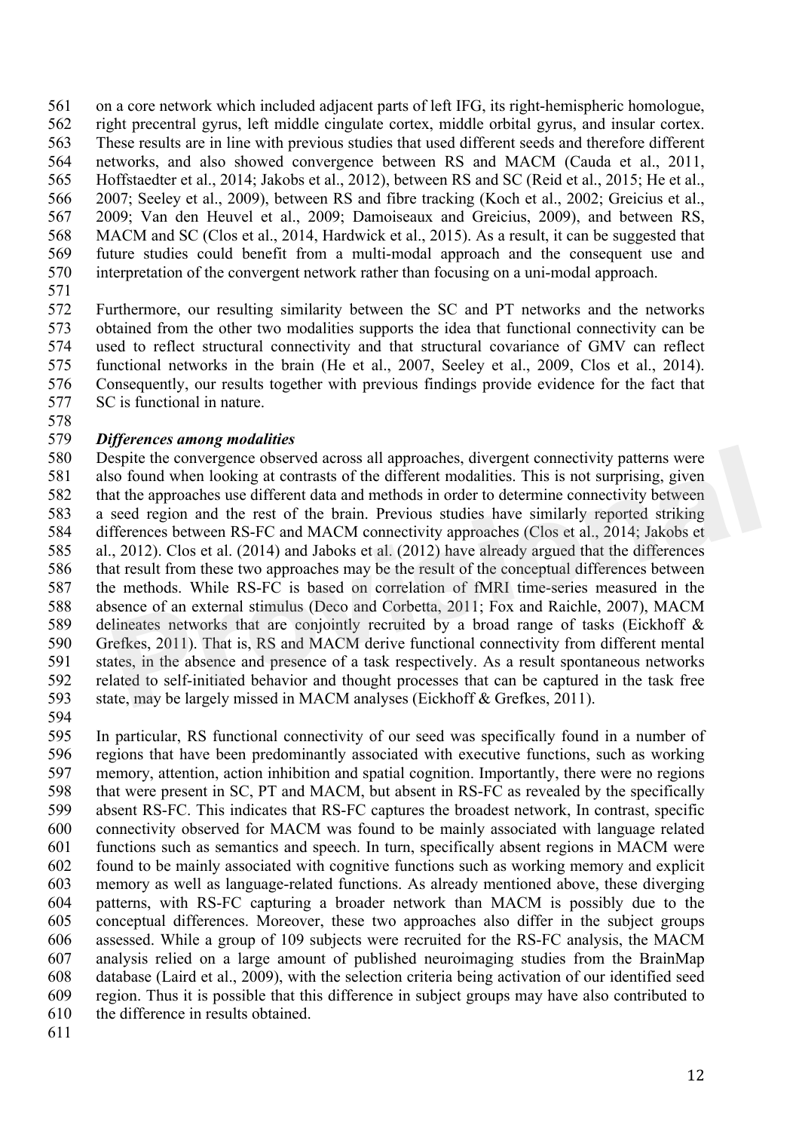on a core network which included adjacent parts of left IFG, its right-hemispheric homologue, right precentral gyrus, left middle cingulate cortex, middle orbital gyrus, and insular cortex. These results are in line with previous studies that used different seeds and therefore different networks, and also showed convergence between RS and MACM (Cauda et al., 2011, Hoffstaedter et al., 2014; Jakobs et al., 2012), between RS and SC (Reid et al., 2015; He et al., 2007; Seeley et al., 2009), between RS and fibre tracking (Koch et al., 2002; Greicius et al., 2009; Van den Heuvel et al., 2009; Damoiseaux and Greicius, 2009), and between RS, MACM and SC (Clos et al., 2014, Hardwick et al., 2015). As a result, it can be suggested that future studies could benefit from a multi-modal approach and the consequent use and interpretation of the convergent network rather than focusing on a uni-modal approach.

 Furthermore, our resulting similarity between the SC and PT networks and the networks obtained from the other two modalities supports the idea that functional connectivity can be used to reflect structural connectivity and that structural covariance of GMV can reflect functional networks in the brain (He et al., 2007, Seeley et al., 2009, Clos et al., 2014). Consequently, our results together with previous findings provide evidence for the fact that SC is functional in nature.

#### *Differences among modalities*

 Despite the convergence observed across all approaches, divergent connectivity patterns were also found when looking at contrasts of the different modalities. This is not surprising, given that the approaches use different data and methods in order to determine connectivity between a seed region and the rest of the brain. Previous studies have similarly reported striking differences between RS-FC and MACM connectivity approaches (Clos et al., 2014; Jakobs et al., 2012). Clos et al. (2014) and Jaboks et al. (2012) have already argued that the differences that result from these two approaches may be the result of the conceptual differences between the methods. While RS-FC is based on correlation of fMRI time-series measured in the absence of an external stimulus (Deco and Corbetta, 2011; Fox and Raichle, 2007), MACM delineates networks that are conjointly recruited by a broad range of tasks (Eickhoff & Grefkes, 2011). That is, RS and MACM derive functional connectivity from different mental states, in the absence and presence of a task respectively. As a result spontaneous networks related to self-initiated behavior and thought processes that can be captured in the task free state, may be largely missed in MACM analyses (Eickhoff & Grefkes, 2011). spite the convergence observed across all approaches, divergent connectivity patterns were<br>so found when looking at contrasts of the different modalities. This is not surprising, given<br>at the approaches use different data

 In particular, RS functional connectivity of our seed was specifically found in a number of regions that have been predominantly associated with executive functions, such as working memory, attention, action inhibition and spatial cognition. Importantly, there were no regions that were present in SC, PT and MACM, but absent in RS-FC as revealed by the specifically absent RS-FC. This indicates that RS-FC captures the broadest network, In contrast, specific connectivity observed for MACM was found to be mainly associated with language related functions such as semantics and speech. In turn, specifically absent regions in MACM were found to be mainly associated with cognitive functions such as working memory and explicit memory as well as language-related functions. As already mentioned above, these diverging patterns, with RS-FC capturing a broader network than MACM is possibly due to the conceptual differences. Moreover, these two approaches also differ in the subject groups assessed. While a group of 109 subjects were recruited for the RS-FC analysis, the MACM analysis relied on a large amount of published neuroimaging studies from the BrainMap database (Laird et al., 2009), with the selection criteria being activation of our identified seed region. Thus it is possible that this difference in subject groups may have also contributed to the difference in results obtained.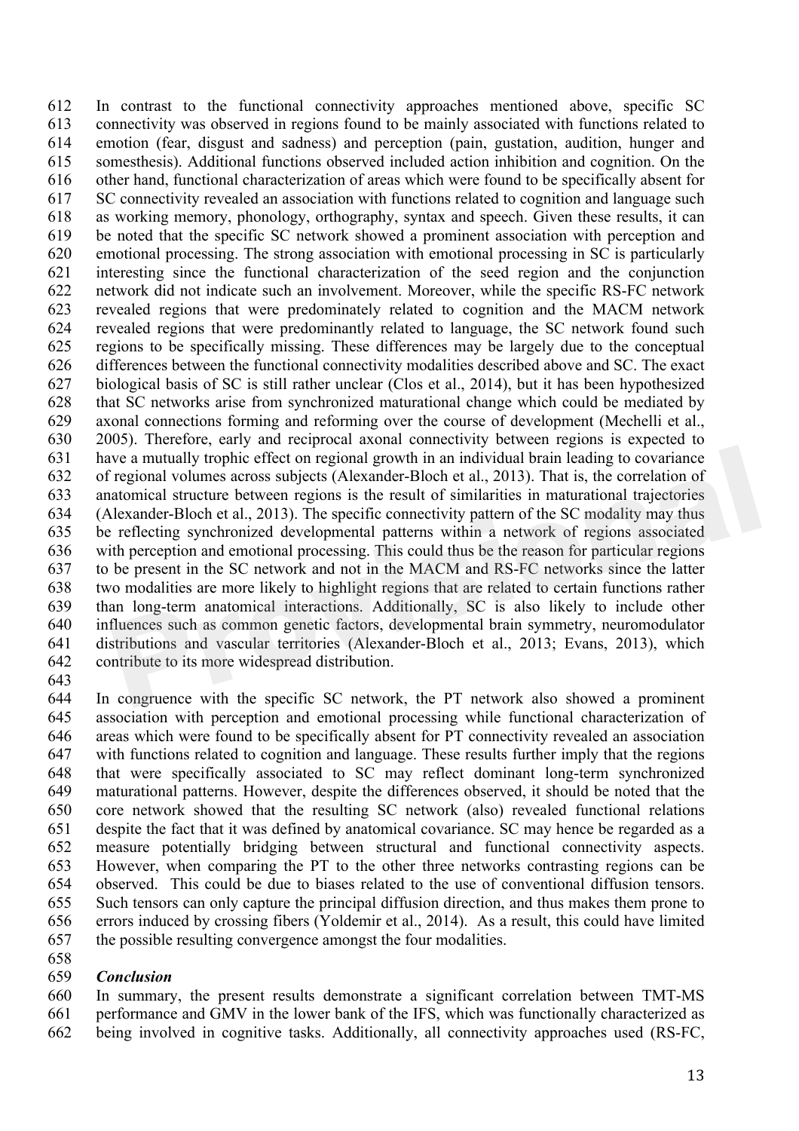In contrast to the functional connectivity approaches mentioned above, specific SC connectivity was observed in regions found to be mainly associated with functions related to emotion (fear, disgust and sadness) and perception (pain, gustation, audition, hunger and somesthesis). Additional functions observed included action inhibition and cognition. On the other hand, functional characterization of areas which were found to be specifically absent for SC connectivity revealed an association with functions related to cognition and language such as working memory, phonology, orthography, syntax and speech. Given these results, it can be noted that the specific SC network showed a prominent association with perception and emotional processing. The strong association with emotional processing in SC is particularly interesting since the functional characterization of the seed region and the conjunction network did not indicate such an involvement. Moreover, while the specific RS-FC network revealed regions that were predominately related to cognition and the MACM network revealed regions that were predominantly related to language, the SC network found such regions to be specifically missing. These differences may be largely due to the conceptual differences between the functional connectivity modalities described above and SC. The exact biological basis of SC is still rather unclear (Clos et al., 2014), but it has been hypothesized that SC networks arise from synchronized maturational change which could be mediated by axonal connections forming and reforming over the course of development (Mechelli et al., 2005). Therefore, early and reciprocal axonal connectivity between regions is expected to have a mutually trophic effect on regional growth in an individual brain leading to covariance of regional volumes across subjects (Alexander-Bloch et al., 2013). That is, the correlation of anatomical structure between regions is the result of similarities in maturational trajectories (Alexander-Bloch et al., 2013). The specific connectivity pattern of the SC modality may thus be reflecting synchronized developmental patterns within a network of regions associated with perception and emotional processing. This could thus be the reason for particular regions to be present in the SC network and not in the MACM and RS-FC networks since the latter two modalities are more likely to highlight regions that are related to certain functions rather than long-term anatomical interactions. Additionally, SC is also likely to include other influences such as common genetic factors, developmental brain symmetry, neuromodulator distributions and vascular territories (Alexander-Bloch et al., 2013; Evans, 2013), which contribute to its more widespread distribution. ive a mutually trophic effect on regional growth in an individual brain leading to covariance regional volumes across subjects (Alexander-Bloch et al., 2013). That is, the correlation of atomical structure between regions

 In congruence with the specific SC network, the PT network also showed a prominent association with perception and emotional processing while functional characterization of areas which were found to be specifically absent for PT connectivity revealed an association with functions related to cognition and language. These results further imply that the regions that were specifically associated to SC may reflect dominant long-term synchronized maturational patterns. However, despite the differences observed, it should be noted that the core network showed that the resulting SC network (also) revealed functional relations despite the fact that it was defined by anatomical covariance. SC may hence be regarded as a measure potentially bridging between structural and functional connectivity aspects. However, when comparing the PT to the other three networks contrasting regions can be observed. This could be due to biases related to the use of conventional diffusion tensors. Such tensors can only capture the principal diffusion direction, and thus makes them prone to errors induced by crossing fibers (Yoldemir et al., 2014). As a result, this could have limited the possible resulting convergence amongst the four modalities.

#### *Conclusion*

 In summary, the present results demonstrate a significant correlation between TMT-MS performance and GMV in the lower bank of the IFS, which was functionally characterized as being involved in cognitive tasks. Additionally, all connectivity approaches used (RS-FC,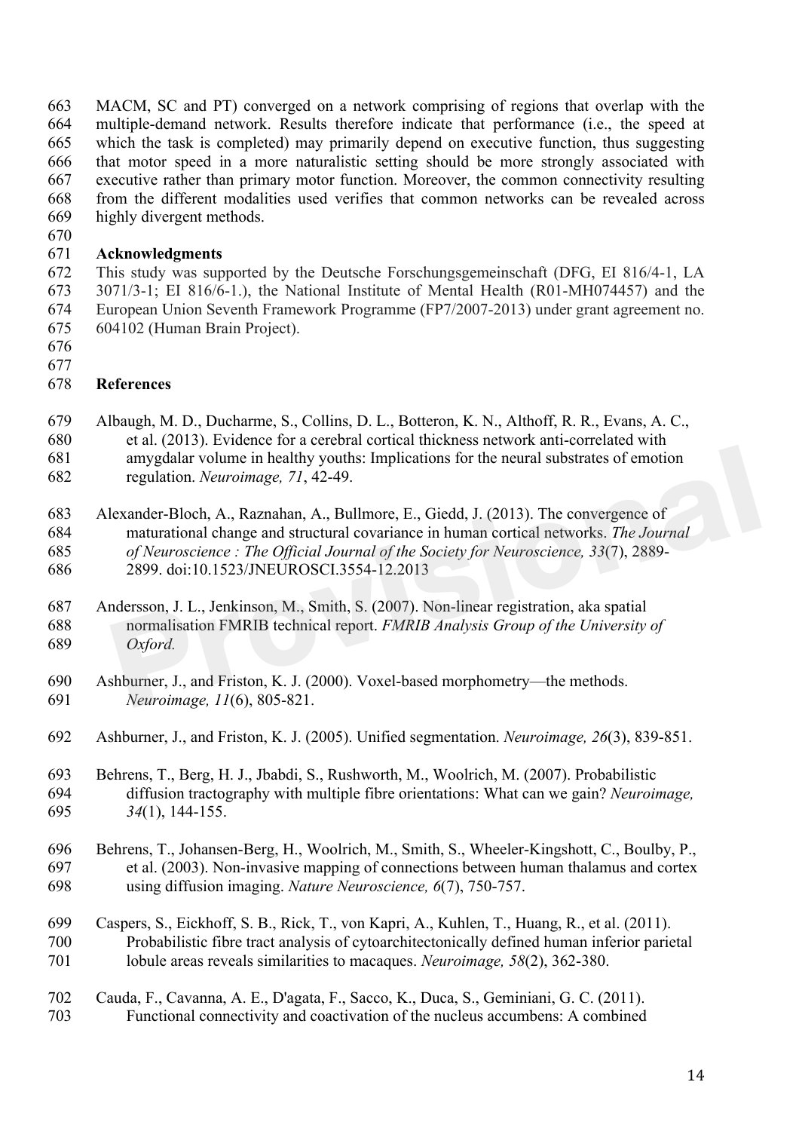MACM, SC and PT) converged on a network comprising of regions that overlap with the multiple-demand network. Results therefore indicate that performance (i.e., the speed at which the task is completed) may primarily depend on executive function, thus suggesting that motor speed in a more naturalistic setting should be more strongly associated with executive rather than primary motor function. Moreover, the common connectivity resulting from the different modalities used verifies that common networks can be revealed across highly divergent methods.

#### **Acknowledgments**

 This study was supported by the Deutsche Forschungsgemeinschaft (DFG, EI 816/4-1, LA 3071/3-1; EI 816/6-1.), the National Institute of Mental Health (R01-MH074457) and the European Union Seventh Framework Programme (FP7/2007-2013) under grant agreement no. 604102 (Human Brain Project).

- 
- 

## **References**

- Albaugh, M. D., Ducharme, S., Collins, D. L., Botteron, K. N., Althoff, R. R., Evans, A. C., et al. (2013). Evidence for a cerebral cortical thickness network anti-correlated with amygdalar volume in healthy youths: Implications for the neural substrates of emotion
- regulation. *Neuroimage, 71*, 42-49.

 Alexander-Bloch, A., Raznahan, A., Bullmore, E., Giedd, J. (2013). The convergence of maturational change and structural covariance in human cortical networks. *The Journal of Neuroscience : The Official Journal of the Society for Neuroscience, 33*(7), 2889- 2899. doi:10.1523/JNEUROSCI.3554-12.2013 amygdalar volume in healthy youths: Implications for the neural substrates of emotion<br>regulation. *Neuroimage*, 71, 42-49.<br>lexander-Bloch, A., Raznahan, A., Bullmore, E., Giedd, J. (2013). The convergence of<br>maturational c

- Andersson, J. L., Jenkinson, M., Smith, S. (2007). Non-linear registration, aka spatial normalisation FMRIB technical report. *FMRIB Analysis Group of the University of Oxford.*
- Ashburner, J., and Friston, K. J. (2000). Voxel-based morphometry—the methods. *Neuroimage, 11*(6), 805-821.
- Ashburner, J., and Friston, K. J. (2005). Unified segmentation. *Neuroimage, 26*(3), 839-851.

 Behrens, T., Berg, H. J., Jbabdi, S., Rushworth, M., Woolrich, M. (2007). Probabilistic diffusion tractography with multiple fibre orientations: What can we gain? *Neuroimage, 34*(1), 144-155.

- Behrens, T., Johansen-Berg, H., Woolrich, M., Smith, S., Wheeler-Kingshott, C., Boulby, P., et al. (2003). Non-invasive mapping of connections between human thalamus and cortex using diffusion imaging. *Nature Neuroscience, 6*(7), 750-757.
- Caspers, S., Eickhoff, S. B., Rick, T., von Kapri, A., Kuhlen, T., Huang, R., et al. (2011). Probabilistic fibre tract analysis of cytoarchitectonically defined human inferior parietal lobule areas reveals similarities to macaques. *Neuroimage, 58*(2), 362-380.
- Cauda, F., Cavanna, A. E., D'agata, F., Sacco, K., Duca, S., Geminiani, G. C. (2011). Functional connectivity and coactivation of the nucleus accumbens: A combined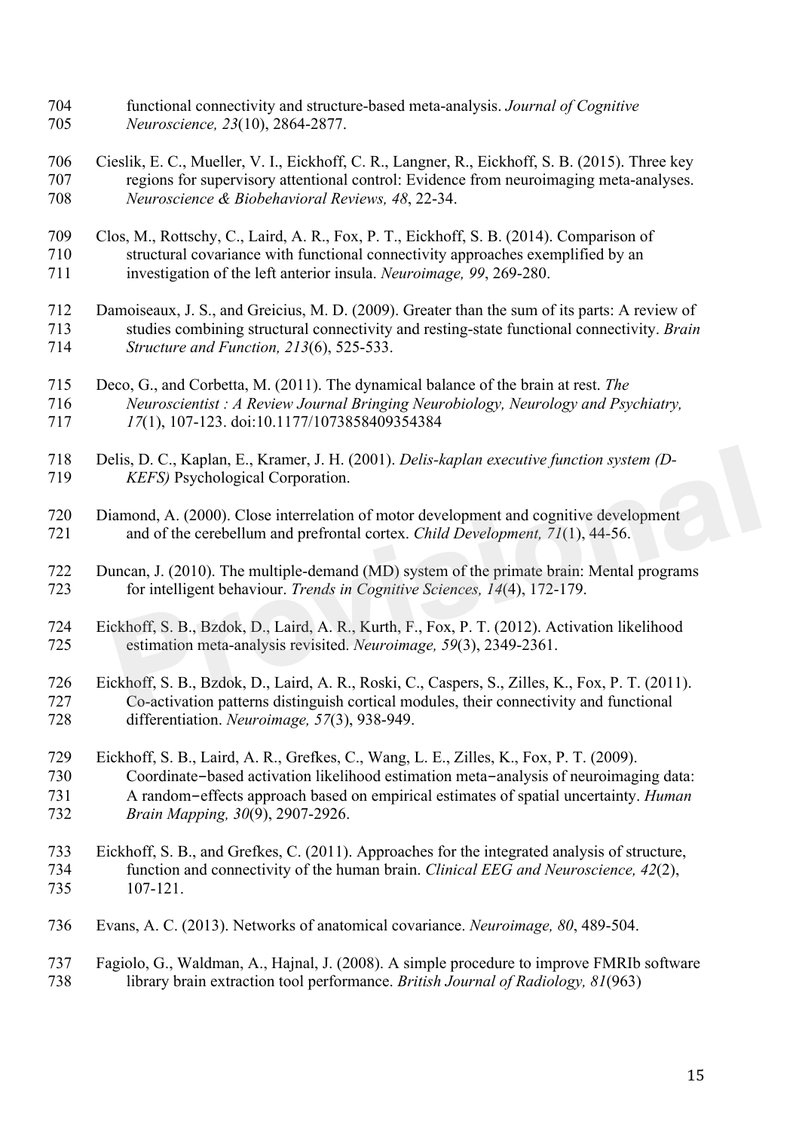- functional connectivity and structure-based meta-analysis. *Journal of Cognitive Neuroscience, 23*(10), 2864-2877.
- Cieslik, E. C., Mueller, V. I., Eickhoff, C. R., Langner, R., Eickhoff, S. B. (2015). Three key regions for supervisory attentional control: Evidence from neuroimaging meta-analyses. *Neuroscience & Biobehavioral Reviews, 48*, 22-34.
- Clos, M., Rottschy, C., Laird, A. R., Fox, P. T., Eickhoff, S. B. (2014). Comparison of structural covariance with functional connectivity approaches exemplified by an investigation of the left anterior insula. *Neuroimage, 99*, 269-280.
- Damoiseaux, J. S., and Greicius, M. D. (2009). Greater than the sum of its parts: A review of studies combining structural connectivity and resting-state functional connectivity. *Brain Structure and Function, 213*(6), 525-533.
- Deco, G., and Corbetta, M. (2011). The dynamical balance of the brain at rest. *The Neuroscientist : A Review Journal Bringing Neurobiology, Neurology and Psychiatry, 17*(1), 107-123. doi:10.1177/1073858409354384
- Delis, D. C., Kaplan, E., Kramer, J. H. (2001). *Delis-kaplan executive function system (D-KEFS)* Psychological Corporation.
- Diamond, A. (2000). Close interrelation of motor development and cognitive development and of the cerebellum and prefrontal cortex. *Child Development, 71*(1), 44-56.
- Duncan, J. (2010). The multiple-demand (MD) system of the primate brain: Mental programs for intelligent behaviour. *Trends in Cognitive Sciences, 14*(4), 172-179. elis, D. C., Kaplan, E., Kramer, J. H. (2001). *Delis-kaplan executive function system (D-KEFS)* Psychological Corporation.<br>
iamond, A. (2000). Close interrelation of motor development and cognitive development<br>
and of the
- Eickhoff, S. B., Bzdok, D., Laird, A. R., Kurth, F., Fox, P. T. (2012). Activation likelihood estimation meta-analysis revisited. *Neuroimage, 59*(3), 2349-2361.
- Eickhoff, S. B., Bzdok, D., Laird, A. R., Roski, C., Caspers, S., Zilles, K., Fox, P. T. (2011). Co-activation patterns distinguish cortical modules, their connectivity and functional differentiation. *Neuroimage, 57*(3), 938-949.
- Eickhoff, S. B., Laird, A. R., Grefkes, C., Wang, L. E., Zilles, K., Fox, P. T. (2009). Coordinate-based activation likelihood estimation meta-analysis of neuroimaging data: A random-effects approach based on empirical estimates of spatial uncertainty. *Human Brain Mapping, 30*(9), 2907-2926.
- Eickhoff, S. B., and Grefkes, C. (2011). Approaches for the integrated analysis of structure, function and connectivity of the human brain. *Clinical EEG and Neuroscience, 42*(2), 107-121.
- Evans, A. C. (2013). Networks of anatomical covariance. *Neuroimage, 80*, 489-504.
- Fagiolo, G., Waldman, A., Hajnal, J. (2008). A simple procedure to improve FMRIb software library brain extraction tool performance. *British Journal of Radiology, 81*(963)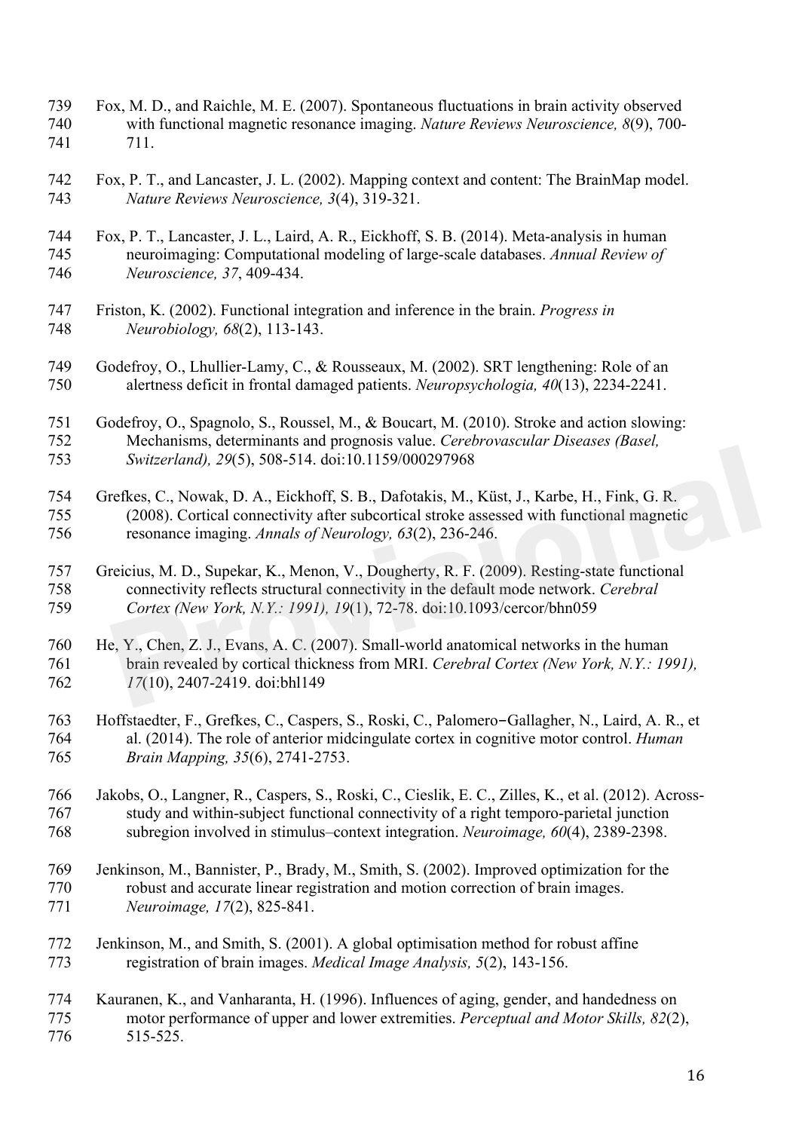- Fox, M. D., and Raichle, M. E. (2007). Spontaneous fluctuations in brain activity observed with functional magnetic resonance imaging. *Nature Reviews Neuroscience, 8*(9), 700- 711.
- Fox, P. T., and Lancaster, J. L. (2002). Mapping context and content: The BrainMap model. *Nature Reviews Neuroscience, 3*(4), 319-321.
- Fox, P. T., Lancaster, J. L., Laird, A. R., Eickhoff, S. B. (2014). Meta-analysis in human neuroimaging: Computational modeling of large-scale databases. *Annual Review of Neuroscience, 37*, 409-434.
- Friston, K. (2002). Functional integration and inference in the brain. *Progress in Neurobiology, 68*(2), 113-143.
- Godefroy, O., Lhullier-Lamy, C., & Rousseaux, M. (2002). SRT lengthening: Role of an alertness deficit in frontal damaged patients. *Neuropsychologia, 40*(13), 2234-2241.
- Godefroy, O., Spagnolo, S., Roussel, M., & Boucart, M. (2010). Stroke and action slowing: Mechanisms, determinants and prognosis value. *Cerebrovascular Diseases (Basel, Switzerland), 29*(5), 508-514. doi:10.1159/000297968
- Grefkes, C., Nowak, D. A., Eickhoff, S. B., Dafotakis, M., Küst, J., Karbe, H., Fink, G. R. (2008). Cortical connectivity after subcortical stroke assessed with functional magnetic resonance imaging. *Annals of Neurology, 63*(2), 236-246.
- Greicius, M. D., Supekar, K., Menon, V., Dougherty, R. F. (2009). Resting-state functional connectivity reflects structural connectivity in the default mode network. *Cerebral Cortex (New York, N.Y.: 1991), 19*(1), 72-78. doi:10.1093/cercor/bhn059
- He, Y., Chen, Z. J., Evans, A. C. (2007). Small-world anatomical networks in the human brain revealed by cortical thickness from MRI. *Cerebral Cortex (New York, N.Y.: 1991), 17*(10), 2407-2419. doi:bhl149 Switzerland), 29(5), 508-514. doi:10.1159/000297968<br>
refkes, C., Nowak, D. A., Eickhoff, S. B., Dafotakis, M., Küst, J., Karbe, H., Fink, G. R.<br>
(2008). Cortical connectivity after subcortical stroke assessed with function
- Hoffstaedter, F., Grefkes, C., Caspers, S., Roski, C., Palomero-Gallagher, N., Laird, A. R., et al. (2014). The role of anterior midcingulate cortex in cognitive motor control. *Human Brain Mapping, 35*(6), 2741-2753.
- Jakobs, O., Langner, R., Caspers, S., Roski, C., Cieslik, E. C., Zilles, K., et al. (2012). Across- study and within-subject functional connectivity of a right temporo-parietal junction subregion involved in stimulus–context integration. *Neuroimage, 60*(4), 2389-2398.
- Jenkinson, M., Bannister, P., Brady, M., Smith, S. (2002). Improved optimization for the robust and accurate linear registration and motion correction of brain images. *Neuroimage, 17*(2), 825-841.
- Jenkinson, M., and Smith, S. (2001). A global optimisation method for robust affine registration of brain images. *Medical Image Analysis, 5*(2), 143-156.
- Kauranen, K., and Vanharanta, H. (1996). Influences of aging, gender, and handedness on motor performance of upper and lower extremities. *Perceptual and Motor Skills, 82*(2), 515-525.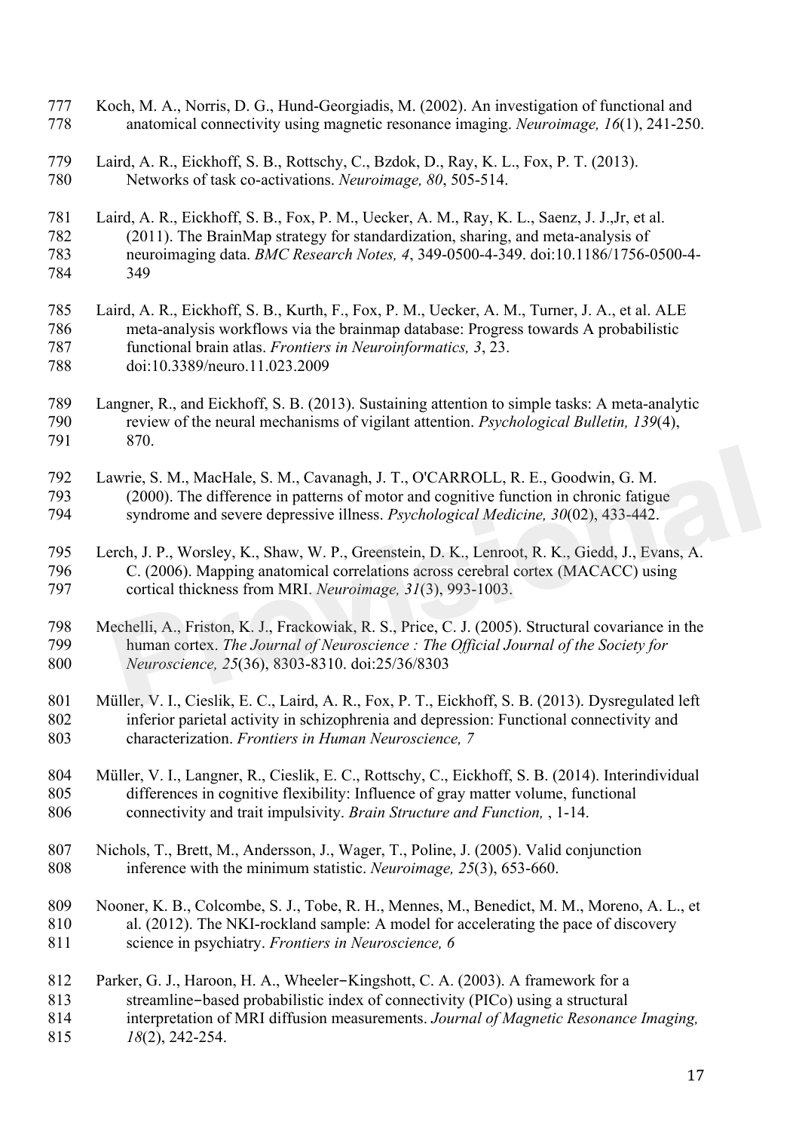- Koch, M. A., Norris, D. G., Hund-Georgiadis, M. (2002). An investigation of functional and anatomical connectivity using magnetic resonance imaging. *Neuroimage, 16*(1), 241-250.
- Laird, A. R., Eickhoff, S. B., Rottschy, C., Bzdok, D., Ray, K. L., Fox, P. T. (2013). Networks of task co-activations. *Neuroimage, 80*, 505-514.
- Laird, A. R., Eickhoff, S. B., Fox, P. M., Uecker, A. M., Ray, K. L., Saenz, J. J.,Jr, et al. (2011). The BrainMap strategy for standardization, sharing, and meta-analysis of neuroimaging data. *BMC Research Notes, 4*, 349-0500-4-349. doi:10.1186/1756-0500-4- 349
- Laird, A. R., Eickhoff, S. B., Kurth, F., Fox, P. M., Uecker, A. M., Turner, J. A., et al. ALE meta-analysis workflows via the brainmap database: Progress towards A probabilistic functional brain atlas. *Frontiers in Neuroinformatics, 3*, 23. doi:10.3389/neuro.11.023.2009
- 789 Langner, R., and Eickhoff, S. B. (2013). Sustaining attention to simple tasks: A meta-analytic<br>790 review of the neural mechanisms of vigilant attention. *Psychological Bulletin. 139*(4). review of the neural mechanisms of vigilant attention. *Psychological Bulletin, 139(4)*, 870.
- Lawrie, S. M., MacHale, S. M., Cavanagh, J. T., O'CARROLL, R. E., Goodwin, G. M. (2000). The difference in patterns of motor and cognitive function in chronic fatigue syndrome and severe depressive illness. *Psychological Medicine, 30*(02), 433-442.
- Lerch, J. P., Worsley, K., Shaw, W. P., Greenstein, D. K., Lenroot, R. K., Giedd, J., Evans, A. C. (2006). Mapping anatomical correlations across cerebral cortex (MACACC) using cortical thickness from MRI. *Neuroimage, 31*(3), 993-1003.
- Mechelli, A., Friston, K. J., Frackowiak, R. S., Price, C. J. (2005). Structural covariance in the human cortex. *The Journal of Neuroscience : The Official Journal of the Society for Neuroscience, 25*(36), 8303-8310. doi:25/36/8303 wrie, S. M., MacHale, S. M., Cavanagh, J. T., O'CARROLL, R. E., Goodwin, G. M. (2000). The difference in patterns of motor and cognitive function in chronic fatigue syndrome and severe depressive illness. *Psychological Me*
- Müller, V. I., Cieslik, E. C., Laird, A. R., Fox, P. T., Eickhoff, S. B. (2013). Dysregulated left inferior parietal activity in schizophrenia and depression: Functional connectivity and characterization. *Frontiers in Human Neuroscience, 7*
- Müller, V. I., Langner, R., Cieslik, E. C., Rottschy, C., Eickhoff, S. B. (2014). Interindividual differences in cognitive flexibility: Influence of gray matter volume, functional connectivity and trait impulsivity. *Brain Structure and Function,* , 1-14.
- Nichols, T., Brett, M., Andersson, J., Wager, T., Poline, J. (2005). Valid conjunction inference with the minimum statistic. *Neuroimage, 25*(3), 653-660.
- Nooner, K. B., Colcombe, S. J., Tobe, R. H., Mennes, M., Benedict, M. M., Moreno, A. L., et al. (2012). The NKI-rockland sample: A model for accelerating the pace of discovery science in psychiatry. *Frontiers in Neuroscience, 6*
- Parker, G. J., Haroon, H. A., Wheeler-Kingshott, C. A. (2003). A framework for a streamline-based probabilistic index of connectivity (PICo) using a structural interpretation of MRI diffusion measurements. *Journal of Magnetic Resonance Imaging, 18*(2), 242-254.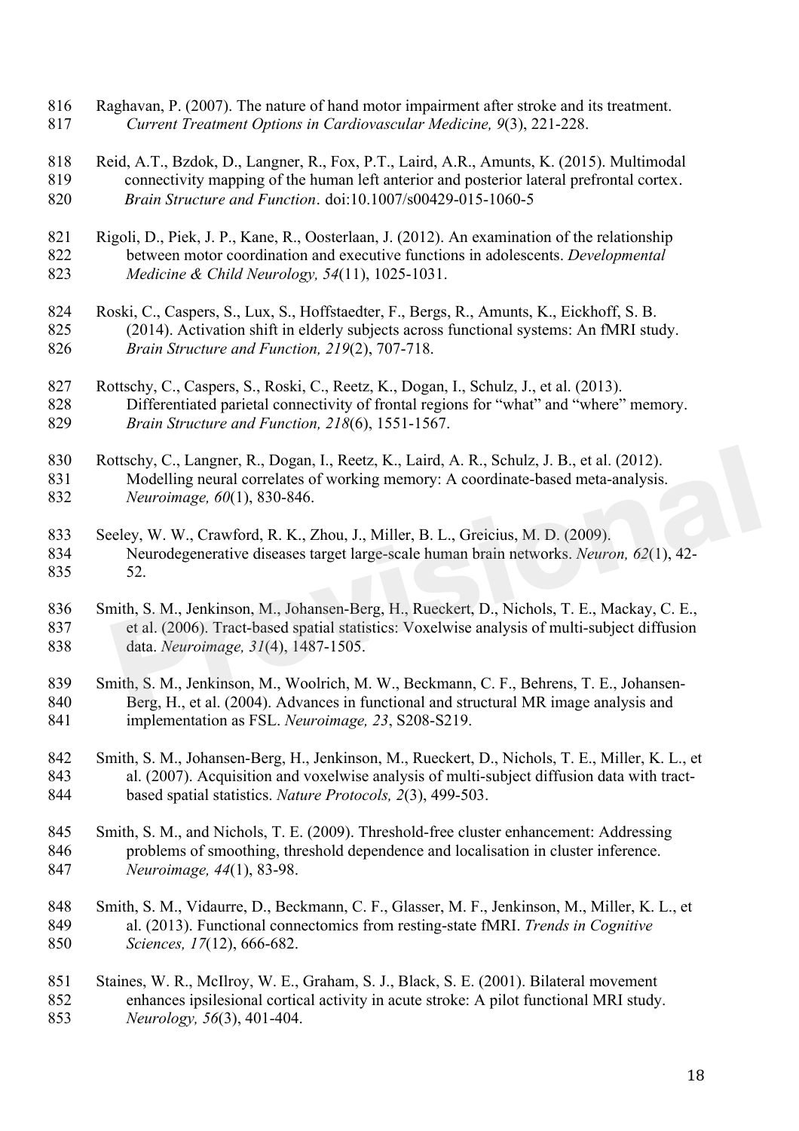- Raghavan, P. (2007). The nature of hand motor impairment after stroke and its treatment. *Current Treatment Options in Cardiovascular Medicine, 9*(3), 221-228.
- Reid, A.T., Bzdok, D., Langner, R., Fox, P.T., Laird, A.R., Amunts, K. (2015). Multimodal connectivity mapping of the human left anterior and posterior lateral prefrontal cortex. *Brain Structure and Function.* doi:10.1007/s00429-015-1060-5
- Rigoli, D., Piek, J. P., Kane, R., Oosterlaan, J. (2012). An examination of the relationship between motor coordination and executive functions in adolescents. *Developmental Medicine & Child Neurology, 54*(11), 1025-1031.
- Roski, C., Caspers, S., Lux, S., Hoffstaedter, F., Bergs, R., Amunts, K., Eickhoff, S. B. (2014). Activation shift in elderly subjects across functional systems: An fMRI study. *Brain Structure and Function, 219*(2), 707-718.
- Rottschy, C., Caspers, S., Roski, C., Reetz, K., Dogan, I., Schulz, J., et al. (2013). Differentiated parietal connectivity of frontal regions for "what" and "where" memory. *Brain Structure and Function, 218*(6), 1551-1567.
- 830 Rottschy, C., Langner, R., Dogan, I., Reetz, K., Laird, A. R., Schulz, J. B., et al. (2012). Modelling neural correlates of working memory: A coordinate-based meta-analysis. *Neuroimage, 60*(1), 830-846.
- Seeley, W. W., Crawford, R. K., Zhou, J., Miller, B. L., Greicius, M. D. (2009). Neurodegenerative diseases target large-scale human brain networks. *Neuron, 62*(1), 42- 52.
- Smith, S. M., Jenkinson, M., Johansen-Berg, H., Rueckert, D., Nichols, T. E., Mackay, C. E., et al. (2006). Tract-based spatial statistics: Voxelwise analysis of multi-subject diffusion data. *Neuroimage, 31*(4), 1487-1505. offschy, C., Langner, R., Dogan, I., Reetz, K., Laird, A. R., Schulz, J. B., et al. (2012).<br>
Modelling neural correlates of working memory: A coordinate-based meta-analysis.<br> *Neuroimage, 60*(1), 830-846.<br>
eley, W. W., Cra
- Smith, S. M., Jenkinson, M., Woolrich, M. W., Beckmann, C. F., Behrens, T. E., Johansen- Berg, H., et al. (2004). Advances in functional and structural MR image analysis and implementation as FSL. *Neuroimage, 23*, S208-S219.
- Smith, S. M., Johansen-Berg, H., Jenkinson, M., Rueckert, D., Nichols, T. E., Miller, K. L., et al. (2007). Acquisition and voxelwise analysis of multi-subject diffusion data with tract-based spatial statistics. *Nature Protocols, 2*(3), 499-503.
- Smith, S. M., and Nichols, T. E. (2009). Threshold-free cluster enhancement: Addressing problems of smoothing, threshold dependence and localisation in cluster inference. *Neuroimage, 44*(1), 83-98.
- Smith, S. M., Vidaurre, D., Beckmann, C. F., Glasser, M. F., Jenkinson, M., Miller, K. L., et al. (2013). Functional connectomics from resting-state fMRI. *Trends in Cognitive Sciences, 17*(12), 666-682.
- Staines, W. R., McIlroy, W. E., Graham, S. J., Black, S. E. (2001). Bilateral movement enhances ipsilesional cortical activity in acute stroke: A pilot functional MRI study. *Neurology, 56*(3), 401-404.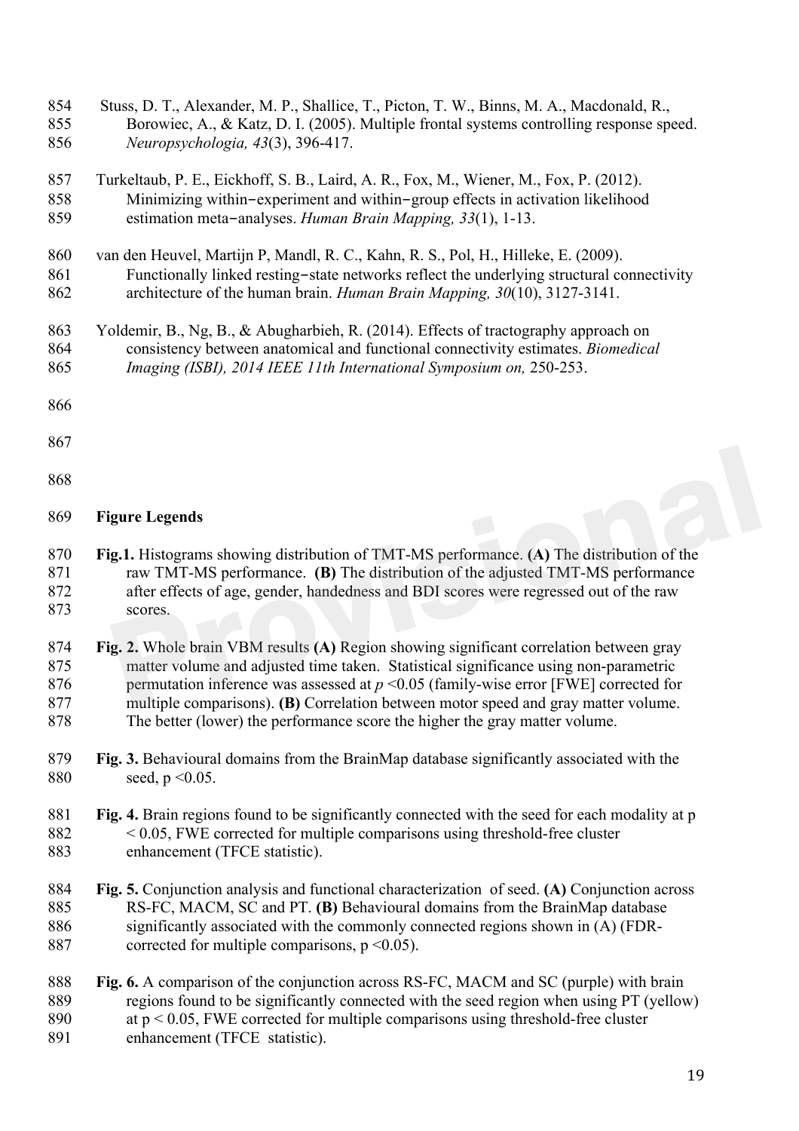Stuss, D. T., Alexander, M. P., Shallice, T., Picton, T. W., Binns, M. A., Macdonald, R., Borowiec, A., & Katz, D. I. (2005). Multiple frontal systems controlling response speed. *Neuropsychologia, 43*(3), 396-417. Turkeltaub, P. E., Eickhoff, S. B., Laird, A. R., Fox, M., Wiener, M., Fox, P. (2012). Minimizing within-experiment and within-group effects in activation likelihood estimation meta-analyses. *Human Brain Mapping, 33*(1), 1-13. van den Heuvel, Martijn P, Mandl, R. C., Kahn, R. S., Pol, H., Hilleke, E. (2009). Functionally linked resting-state networks reflect the underlying structural connectivity architecture of the human brain. *Human Brain Mapping, 30*(10), 3127-3141. Yoldemir, B., Ng, B., & Abugharbieh, R. (2014). Effects of tractography approach on consistency between anatomical and functional connectivity estimates. *Biomedical Imaging (ISBI), 2014 IEEE 11th International Symposium on,* 250-253. **Figure Legends Fig.1.** Histograms showing distribution of TMT-MS performance. **(A)** The distribution of the raw TMT-MS performance. **(B)** The distribution of the adjusted TMT-MS performance after effects of age, gender, handedness and BDI scores were regressed out of the raw scores. **Fig. 2.** Whole brain VBM results **(A)** Region showing significant correlation between gray matter volume and adjusted time taken. Statistical significance using non-parametric 876 permutation inference was assessed at  $p \le 0.05$  (family-wise error [FWE] corrected for multiple comparisons). **(B)** Correlation between motor speed and gray matter volume. The better (lower) the performance score the higher the gray matter volume. **Fig. 3.** Behavioural domains from the BrainMap database significantly associated with the 880 seed, p < 0.05. **Fig. 4.** Brain regions found to be significantly connected with the seed for each modality at p < 0.05, FWE corrected for multiple comparisons using threshold-free cluster enhancement (TFCE statistic). **Fig. 5.** Conjunction analysis and functional characterization of seed. **(A)** Conjunction across RS-FC, MACM, SC and PT. **(B)** Behavioural domains from the BrainMap database significantly associated with the commonly connected regions shown in (A) (FDR-887 corrected for multiple comparisons,  $p \le 0.05$ ). **Fig. 6.** A comparison of the conjunction across RS-FC, MACM and SC (purple) with brain regions found to be significantly connected with the seed region when using PT (yellow) at p < 0.05, FWE corrected for multiple comparisons using threshold-free cluster enhancement (TFCE statistic). **g.1.** Histograms showing distribution of TMT-MS performance. (A) The distribution of the raw TMT-MS performance. (B) The distribution of the adjusted TMT-MS performance after effects of age, gender, handedness and BDI sco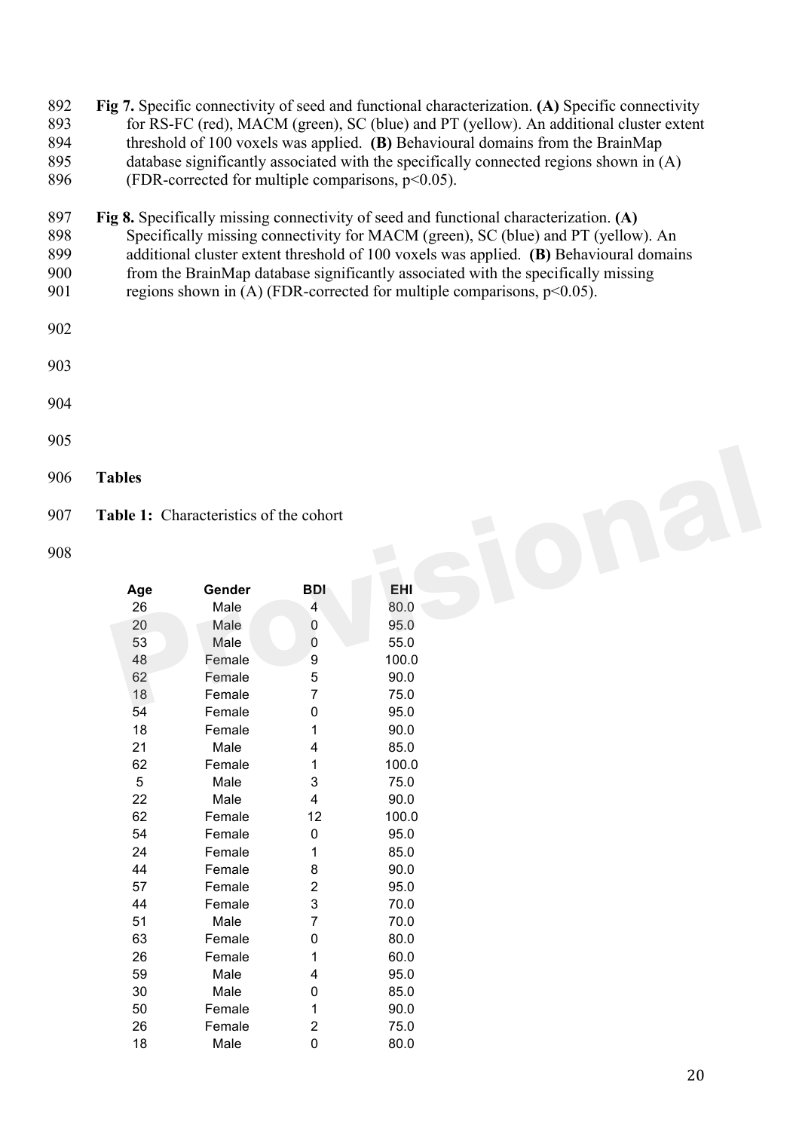| 892 | Fig 7. Specific connectivity of seed and functional characterization. (A) Specific connectivity |
|-----|-------------------------------------------------------------------------------------------------|
| 893 | for RS-FC (red), MACM (green), SC (blue) and PT (yellow). An additional cluster extent          |
| 894 | threshold of 100 voxels was applied. (B) Behavioural domains from the BrainMap                  |
| 895 | database significantly associated with the specifically connected regions shown in $(A)$        |
| 896 | (FDR-corrected for multiple comparisons, $p<0.05$ ).                                            |

- 897 **Fig 8.** Specifically missing connectivity of seed and functional characterization. **(A)**<br>898 Specifically missing connectivity for MACM (green), SC (blue) and PT (yellow Specifically missing connectivity for MACM (green), SC (blue) and PT (yellow). An additional cluster extent threshold of 100 voxels was applied. **(B)** Behavioural domains from the BrainMap database significantly associated with the specifically missing 901 regions shown in (A) (FDR-corrected for multiple comparisons,  $p<0.05$ ).
- 
- 
- 
- **Tables**

| 907 |  | <b>Table 1:</b> Characteristics of the cohort |  |
|-----|--|-----------------------------------------------|--|
|-----|--|-----------------------------------------------|--|

| Age | Gender | BDI                     | EHI   |
|-----|--------|-------------------------|-------|
| 26  | Male   | 4                       | 80.0  |
| 20  | Male   | 0                       | 95.0  |
| 53  | Male   | 0                       | 55.0  |
| 48  | Female | 9                       | 100.0 |
| 62  | Female | 5                       | 90.0  |
| 18  | Female | $\overline{7}$          | 75.0  |
| 54  | Female | 0                       | 95.0  |
| 18  | Female | 1                       | 90.0  |
| 21  | Male   | 4                       | 85.0  |
| 62  | Female | 1                       | 100.0 |
| 5   | Male   | 3                       | 75.0  |
| 22  | Male   | $\overline{4}$          | 90.0  |
| 62  | Female | 12                      | 100.0 |
| 54  | Female | 0                       | 95.0  |
| 24  | Female | 1                       | 85.0  |
| 44  | Female | 8                       | 90.0  |
| 57  | Female | $\overline{\mathbf{c}}$ | 95.0  |
| 44  | Female | 3                       | 70.0  |
| 51  | Male   | $\overline{7}$          | 70.0  |
| 63  | Female | 0                       | 80.0  |
| 26  | Female | 1                       | 60.0  |
| 59  | Male   | 4                       | 95.0  |
| 30  | Male   | 0                       | 85.0  |
| 50  | Female | 1                       | 90.0  |
| 26  | Female | 2                       | 75.0  |
| 18  | Male   | 0                       | 80.0  |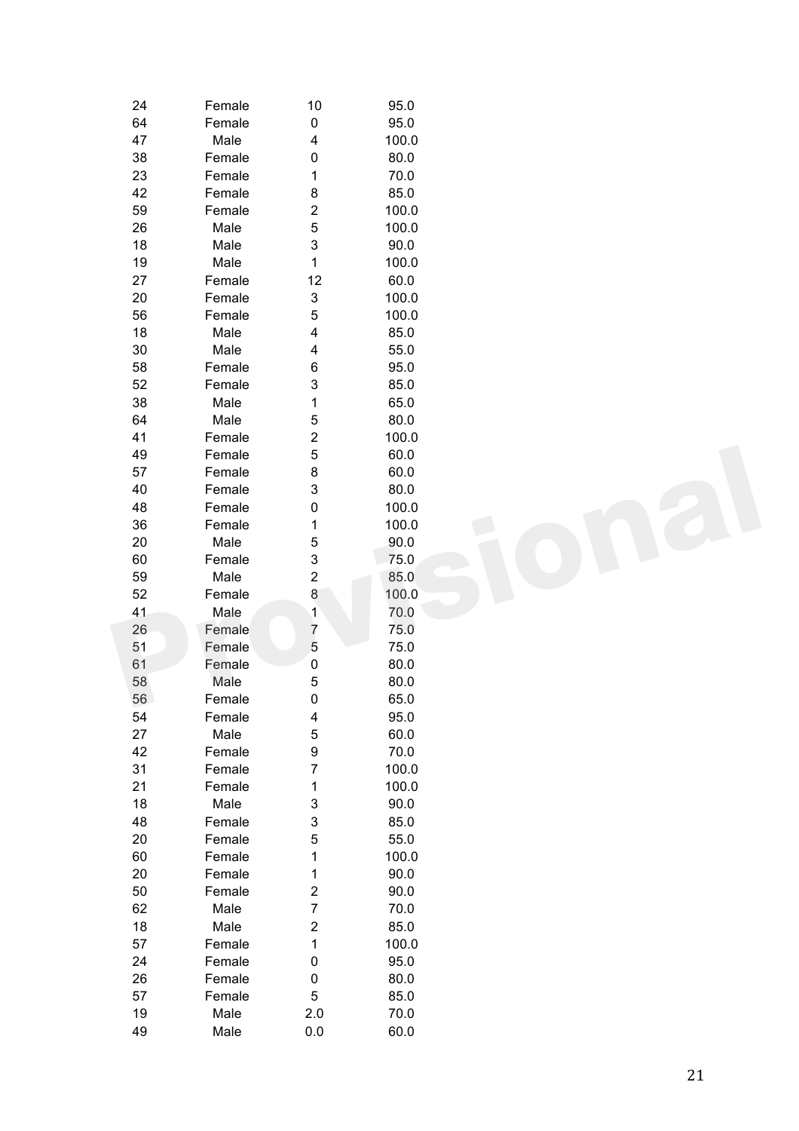| 24 | Female | 10                      | 95.0  |  |
|----|--------|-------------------------|-------|--|
| 64 | Female | $\pmb{0}$               | 95.0  |  |
| 47 | Male   | 4                       | 100.0 |  |
| 38 | Female | 0                       | 80.0  |  |
| 23 | Female | 1                       | 70.0  |  |
| 42 | Female | 8                       | 85.0  |  |
| 59 | Female | $\overline{\mathbf{c}}$ | 100.0 |  |
| 26 | Male   | 5                       | 100.0 |  |
| 18 | Male   | 3                       | 90.0  |  |
| 19 | Male   | $\mathbf 1$             | 100.0 |  |
| 27 | Female | 12                      | 60.0  |  |
| 20 | Female | 3                       | 100.0 |  |
| 56 | Female | 5                       | 100.0 |  |
| 18 | Male   | 4                       | 85.0  |  |
| 30 | Male   |                         | 55.0  |  |
|    |        | 4                       |       |  |
| 58 | Female | 6                       | 95.0  |  |
| 52 | Female | 3                       | 85.0  |  |
| 38 | Male   | 1                       | 65.0  |  |
| 64 | Male   | 5                       | 80.0  |  |
| 41 | Female | $\overline{\mathbf{c}}$ | 100.0 |  |
| 49 | Female | 5                       | 60.0  |  |
| 57 | Female | 8                       | 60.0  |  |
| 40 | Female | 3                       | 80.0  |  |
| 48 | Female | $\pmb{0}$               | 100.0 |  |
| 36 | Female | 1                       | 100.0 |  |
| 20 | Male   | 5                       | 90.0  |  |
| 60 | Female | 3                       | 75.0  |  |
| 59 | Male   | $\overline{\mathbf{c}}$ | 85.0  |  |
| 52 | Female | 8                       | 100.0 |  |
| 41 | Male   | $\mathbf{1}$            | 70.0  |  |
| 26 | Female | $\overline{7}$          | 75.0  |  |
| 51 | Female | 5                       | 75.0  |  |
| 61 | Female | 0                       | 80.0  |  |
| 58 | Male   | 5                       | 80.0  |  |
| 56 | Female | 0                       | 65.0  |  |
| 54 | Female | 4                       | 95.0  |  |
| 27 | Male   | 5                       | 60.0  |  |
| 42 | Female | 9                       | 70.0  |  |
| 31 | Female | $\overline{7}$          | 100.0 |  |
| 21 | Female | 1                       | 100.0 |  |
| 18 | Male   | 3                       | 90.0  |  |
| 48 | Female | 3                       | 85.0  |  |
| 20 | Female | 5                       | 55.0  |  |
| 60 | Female | 1                       | 100.0 |  |
| 20 | Female | 1                       | 90.0  |  |
|    |        |                         |       |  |
| 50 | Female | $\boldsymbol{2}$        | 90.0  |  |
| 62 | Male   | $\overline{7}$          | 70.0  |  |
| 18 | Male   | $\boldsymbol{2}$        | 85.0  |  |
| 57 | Female | $\mathbf 1$             | 100.0 |  |
| 24 | Female | $\pmb{0}$               | 95.0  |  |
| 26 | Female | $\pmb{0}$               | 80.0  |  |
| 57 | Female | 5                       | 85.0  |  |
| 19 | Male   | 2.0                     | 70.0  |  |
| 49 | Male   | $0.0\,$                 | 60.0  |  |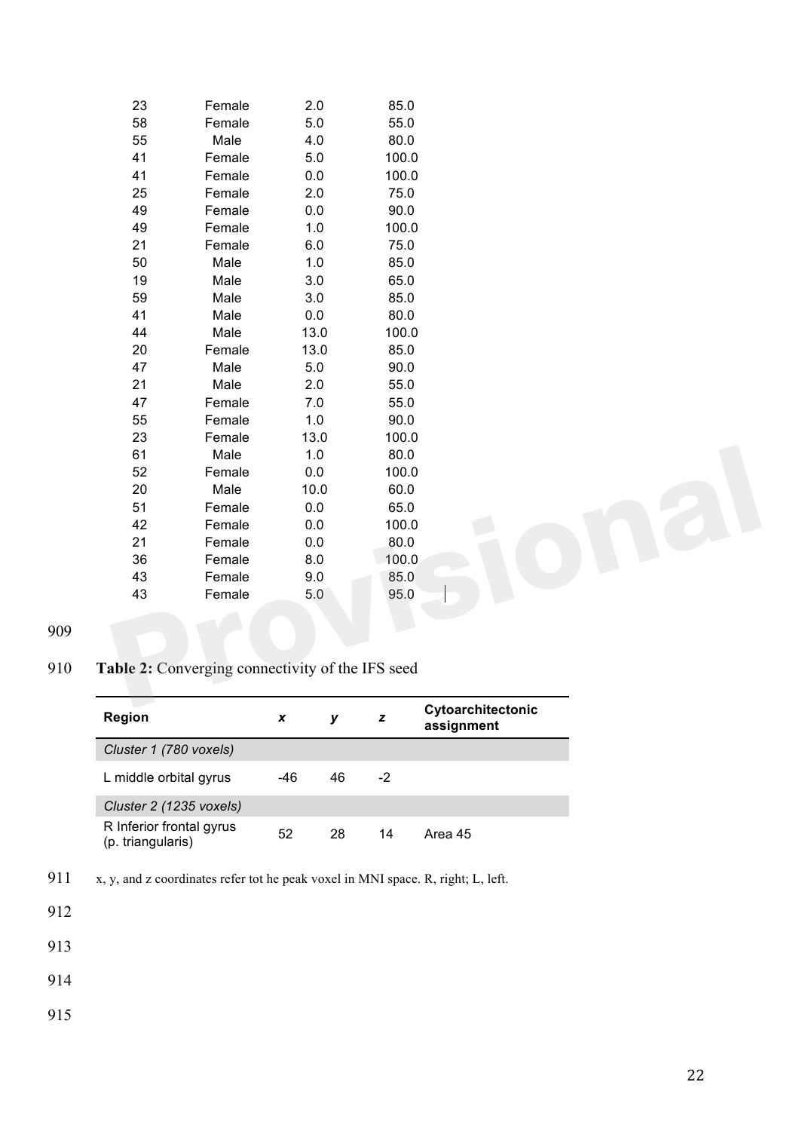| 23 | Female                                        | 2.0     | 85.0  |  |
|----|-----------------------------------------------|---------|-------|--|
| 58 | Female                                        | 5.0     | 55.0  |  |
| 55 | Male                                          | 4.0     | 80.0  |  |
| 41 | Female                                        | 5.0     | 100.0 |  |
| 41 | Female                                        | 0.0     | 100.0 |  |
| 25 | Female                                        | 2.0     | 75.0  |  |
| 49 | Female                                        | 0.0     | 90.0  |  |
| 49 | Female                                        | 1.0     | 100.0 |  |
| 21 | Female                                        | 6.0     | 75.0  |  |
| 50 | Male                                          | 1.0     | 85.0  |  |
| 19 | Male                                          | 3.0     | 65.0  |  |
| 59 | Male                                          | 3.0     | 85.0  |  |
| 41 | Male                                          | 0.0     | 80.0  |  |
| 44 | Male                                          | 13.0    | 100.0 |  |
| 20 | Female                                        | 13.0    | 85.0  |  |
| 47 | Male                                          | 5.0     | 90.0  |  |
| 21 | Male                                          | 2.0     | 55.0  |  |
| 47 | Female                                        | 7.0     | 55.0  |  |
| 55 | Female                                        | 1.0     | 90.0  |  |
| 23 | Female                                        | 13.0    | 100.0 |  |
| 61 | Male                                          | $1.0$   | 80.0  |  |
| 52 | Female                                        | $0.0\,$ | 100.0 |  |
| 20 | Male                                          | 10.0    | 60.0  |  |
| 51 | Female                                        | 0.0     | 65.0  |  |
| 42 | Female                                        | $0.0\,$ | 100.0 |  |
| 21 | Female                                        | 0.0     | 80.0  |  |
| 36 | Female                                        | 8.0     | 100.0 |  |
| 43 | Female                                        | 9.0     | 85.0  |  |
| 43 | Female                                        | 5.0     | 95.0  |  |
|    |                                               |         |       |  |
|    |                                               |         |       |  |
|    |                                               |         |       |  |
|    | le 2: Converging connectivity of the IFS seed |         |       |  |
|    |                                               |         |       |  |

## **Table 2:** Converging connectivity of the IFS seed

| <b>Region</b>                                 | x   | ν  | z  | Cytoarchitectonic<br>assignment |
|-----------------------------------------------|-----|----|----|---------------------------------|
| Cluster 1 (780 voxels)                        |     |    |    |                                 |
| L middle orbital gyrus                        | -46 | 46 | -2 |                                 |
| Cluster 2 (1235 voxels)                       |     |    |    |                                 |
| R Inferior frontal gyrus<br>(p. triangularis) | 52  | 28 | 14 | Area 45                         |

911 x, y, and z coordinates refer tot he peak voxel in MNI space. R, right; L, left.

- 
- 
- 
-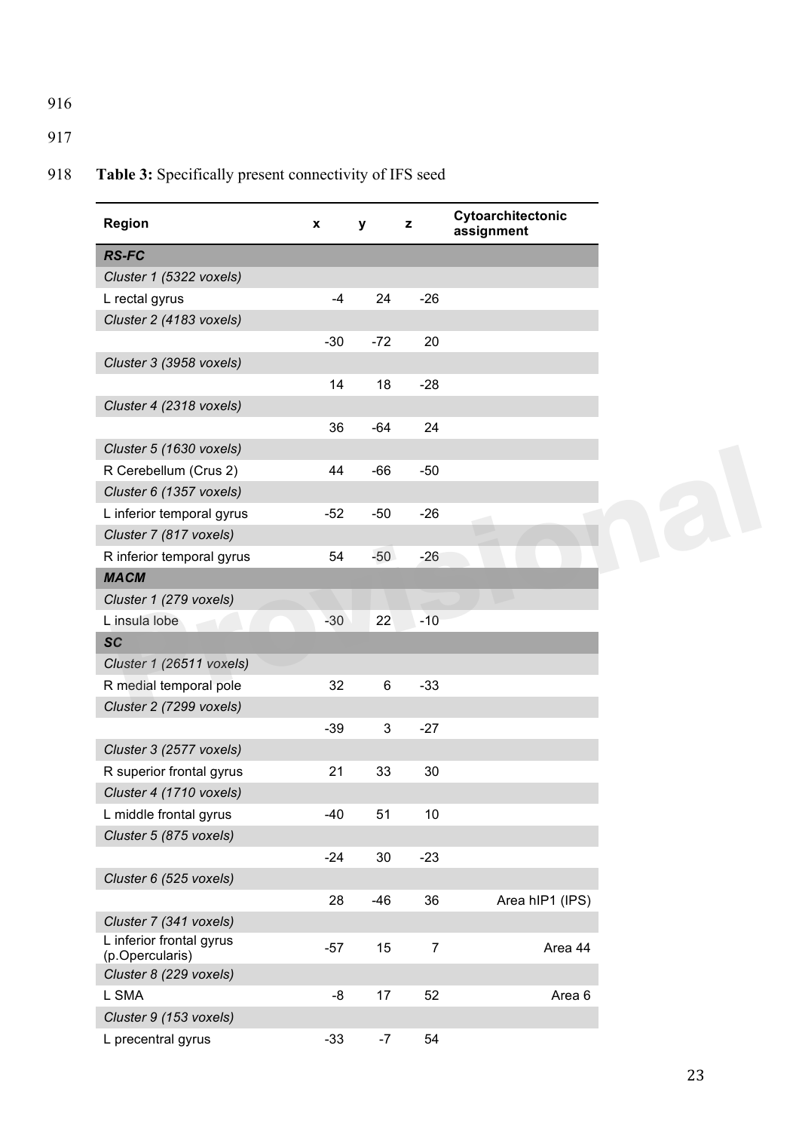## 917

# 918 **Table 3:** Specifically present connectivity of IFS seed

| Region                                      | x     | У     | z              | Cytoarchitectonic<br>assignment |
|---------------------------------------------|-------|-------|----------------|---------------------------------|
| <b>RS-FC</b>                                |       |       |                |                                 |
| Cluster 1 (5322 voxels)                     |       |       |                |                                 |
| L rectal gyrus                              | $-4$  | 24    | $-26$          |                                 |
| Cluster 2 (4183 voxels)                     |       |       |                |                                 |
|                                             | $-30$ | $-72$ | 20             |                                 |
| Cluster 3 (3958 voxels)                     |       |       |                |                                 |
|                                             | 14    | 18    | $-28$          |                                 |
| Cluster 4 (2318 voxels)                     |       |       |                |                                 |
|                                             | 36    | $-64$ | 24             |                                 |
| Cluster 5 (1630 voxels)                     |       |       |                |                                 |
| R Cerebellum (Crus 2)                       | 44    | $-66$ | $-50$          |                                 |
| Cluster 6 (1357 voxels)                     |       |       |                |                                 |
| L inferior temporal gyrus                   | $-52$ | $-50$ | $-26$          |                                 |
| Cluster 7 (817 voxels)                      |       |       |                |                                 |
| R inferior temporal gyrus                   | 54    | $-50$ | $-26$          |                                 |
| <b>MACM</b>                                 |       |       |                |                                 |
| Cluster 1 (279 voxels)                      |       |       |                |                                 |
| L insula lobe                               | $-30$ | 22    | $-10$          |                                 |
| <b>SC</b>                                   |       |       |                |                                 |
| Cluster 1 (26511 voxels)                    |       |       |                |                                 |
| R medial temporal pole                      | 32    | 6     | $-33$          |                                 |
| Cluster 2 (7299 voxels)                     |       |       |                |                                 |
|                                             | $-39$ | 3     | $-27$          |                                 |
| Cluster 3 (2577 voxels)                     |       |       |                |                                 |
| R superior frontal gyrus                    | 21    | 33    | 30             |                                 |
| Cluster 4 (1710 voxels)                     |       |       |                |                                 |
| L middle frontal gyrus                      | -40   | 51    | 10             |                                 |
| Cluster 5 (875 voxels)                      |       |       |                |                                 |
|                                             | $-24$ | 30    | $-23$          |                                 |
| Cluster 6 (525 voxels)                      |       |       |                |                                 |
|                                             | 28    | $-46$ | 36             | Area hIP1 (IPS)                 |
| Cluster 7 (341 voxels)                      |       |       |                |                                 |
| L inferior frontal gyrus<br>(p.Opercularis) | $-57$ | 15    | $\overline{7}$ | Area 44                         |
| Cluster 8 (229 voxels)                      |       |       |                |                                 |
| L SMA                                       | -8    | 17    | 52             | Area 6                          |
| Cluster 9 (153 voxels)                      |       |       |                |                                 |
| L precentral gyrus                          | $-33$ | $-7$  | 54             |                                 |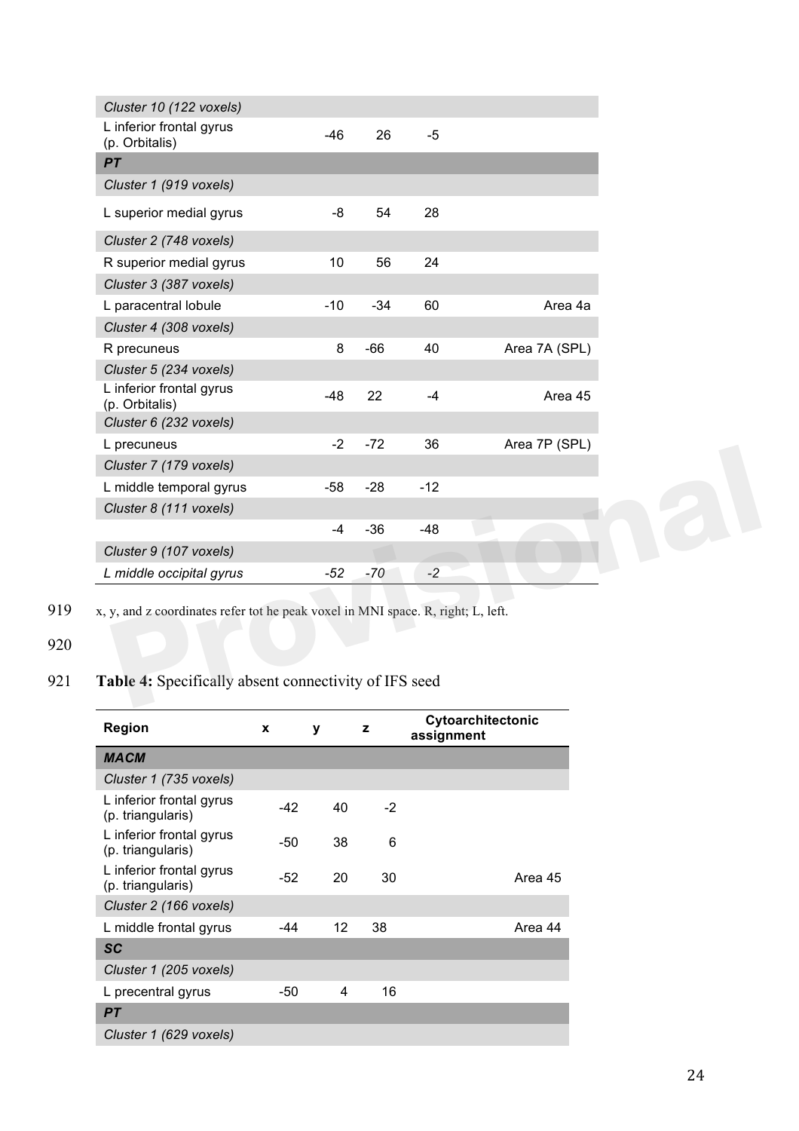| Cluster 10 (122 voxels)                                                          |       |       |       |               |  |  |  |  |
|----------------------------------------------------------------------------------|-------|-------|-------|---------------|--|--|--|--|
| L inferior frontal gyrus<br>(p. Orbitalis)                                       | $-46$ | 26    | $-5$  |               |  |  |  |  |
| PT                                                                               |       |       |       |               |  |  |  |  |
| Cluster 1 (919 voxels)                                                           |       |       |       |               |  |  |  |  |
| L superior medial gyrus                                                          | -8    | 54    | 28    |               |  |  |  |  |
| Cluster 2 (748 voxels)                                                           |       |       |       |               |  |  |  |  |
| R superior medial gyrus                                                          | 10    | 56    | 24    |               |  |  |  |  |
| Cluster 3 (387 voxels)                                                           |       |       |       |               |  |  |  |  |
| L paracentral lobule                                                             | $-10$ | $-34$ | 60    | Area 4a       |  |  |  |  |
| Cluster 4 (308 voxels)                                                           |       |       |       |               |  |  |  |  |
| R precuneus                                                                      | 8     | $-66$ | 40    | Area 7A (SPL) |  |  |  |  |
| Cluster 5 (234 voxels)                                                           |       |       |       |               |  |  |  |  |
| L inferior frontal gyrus<br>(p. Orbitalis)                                       | $-48$ | 22    | $-4$  | Area 45       |  |  |  |  |
| Cluster 6 (232 voxels)                                                           |       |       |       |               |  |  |  |  |
| L precuneus                                                                      | $-2$  | $-72$ | 36    | Area 7P (SPL) |  |  |  |  |
| Cluster 7 (179 voxels)                                                           |       |       |       |               |  |  |  |  |
| L middle temporal gyrus                                                          | $-58$ | $-28$ | $-12$ |               |  |  |  |  |
| Cluster 8 (111 voxels)                                                           |       |       |       |               |  |  |  |  |
|                                                                                  | $-4$  | $-36$ | $-48$ |               |  |  |  |  |
| Cluster 9 (107 voxels)                                                           |       |       |       |               |  |  |  |  |
| L middle occipital gyrus                                                         | $-52$ | $-70$ | $-2$  |               |  |  |  |  |
| x, y, and z coordinates refer tot he peak voxel in MNI space. R, right; L, left. |       |       |       |               |  |  |  |  |
| Table 4: Specifically absent connectivity of IFS seed                            |       |       |       |               |  |  |  |  |

919 x, y, and z coordinates refer tot he peak voxel in MNI space. R, right; L, left.

## 920

# 921 **Table 4:** Specifically absent connectivity of IFS seed

| Region                                        | X   | у  | z    | Cytoarchitectonic<br>assignment |
|-----------------------------------------------|-----|----|------|---------------------------------|
| <b>MACM</b>                                   |     |    |      |                                 |
| Cluster 1 (735 voxels)                        |     |    |      |                                 |
| L inferior frontal gyrus<br>(p. triangularis) | -42 | 40 | $-2$ |                                 |
| L inferior frontal gyrus<br>(p. triangularis) | -50 | 38 | 6    |                                 |
| L inferior frontal gyrus<br>(p. triangularis) | -52 | 20 | 30   | Area 45                         |
| Cluster 2 (166 voxels)                        |     |    |      |                                 |
| L middle frontal gyrus                        | -44 | 12 | 38   | Area 44                         |
| <b>SC</b>                                     |     |    |      |                                 |
| Cluster 1 (205 voxels)                        |     |    |      |                                 |
| L precentral gyrus                            | -50 | 4  | 16   |                                 |
| <b>PT</b>                                     |     |    |      |                                 |
| Cluster 1 (629 voxels)                        |     |    |      |                                 |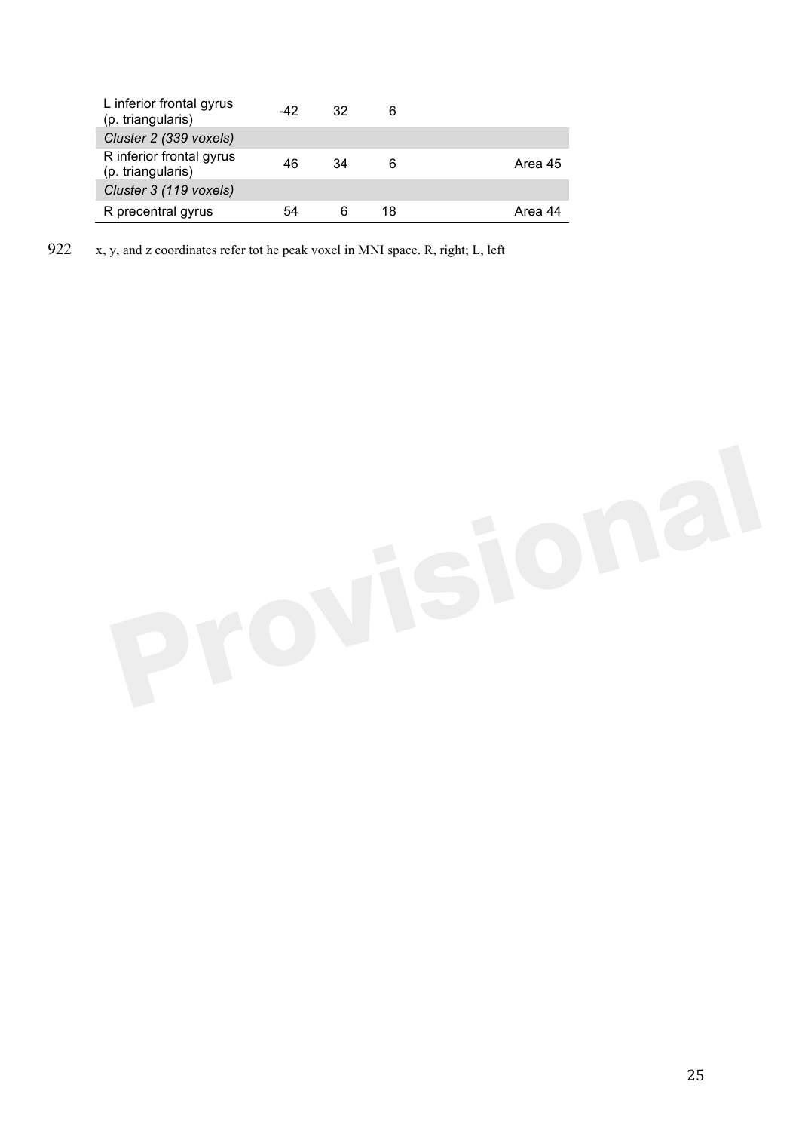| L inferior frontal gyrus<br>(p. triangularis) | -42 | 32 | 6  |         |
|-----------------------------------------------|-----|----|----|---------|
| Cluster 2 (339 voxels)                        |     |    |    |         |
| R inferior frontal gyrus<br>(p. triangularis) | 46  | 34 | 6  | Area 45 |
| Cluster 3 (119 voxels)                        |     |    |    |         |
| R precentral gyrus                            | 54  |    | 18 | Area 44 |

922 x, y, and z coordinates refer tot he peak voxel in MNI space. R, right; L, left

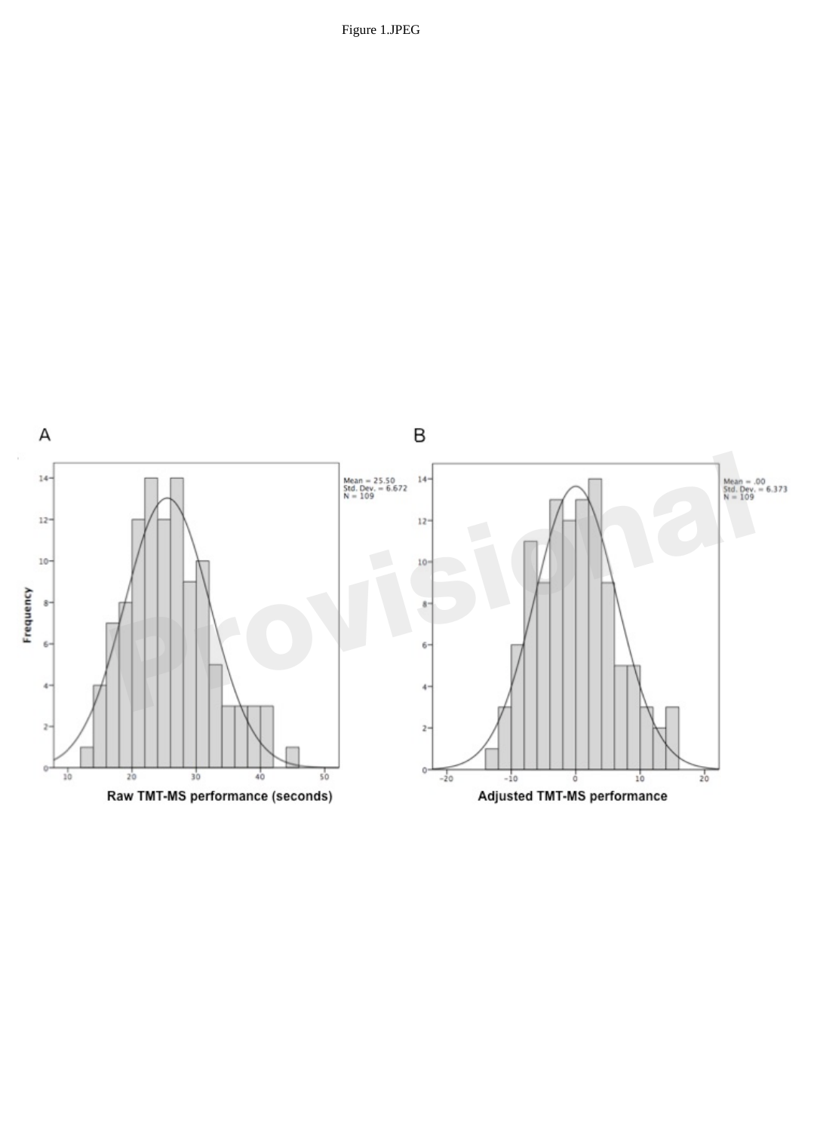

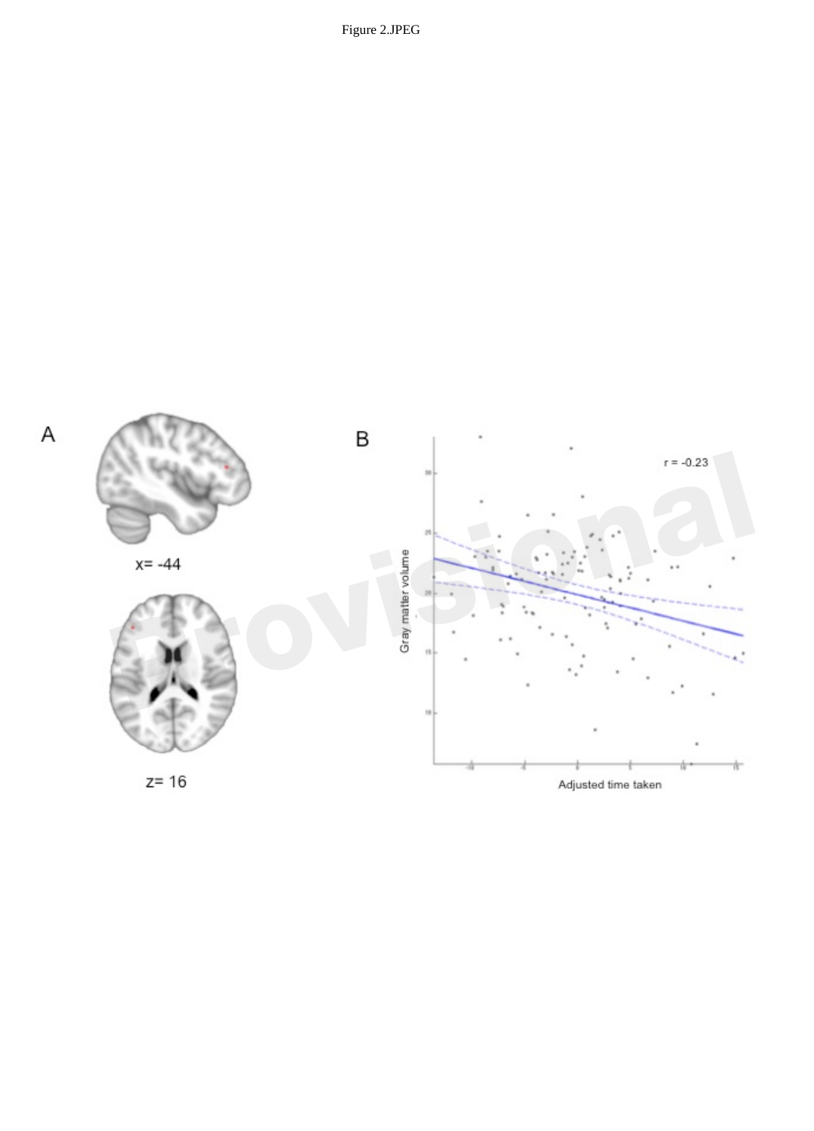

Adjusted time taken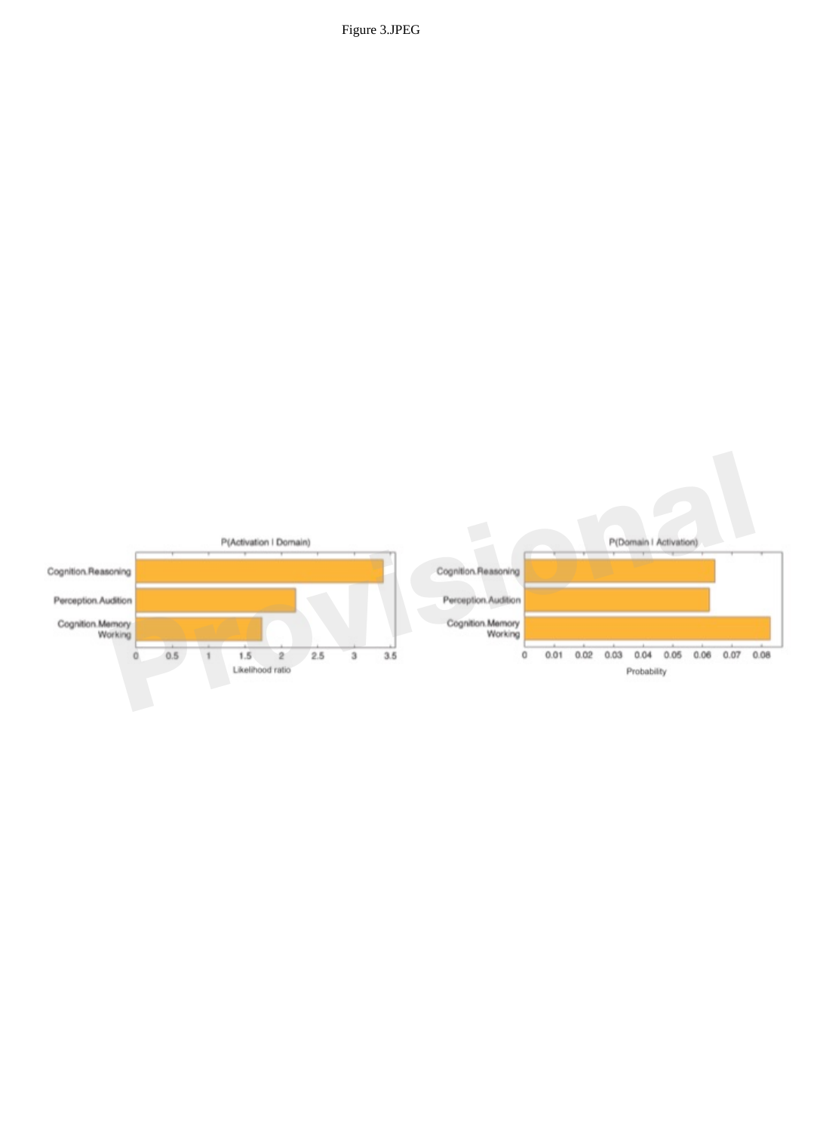

Figure 3.JPEG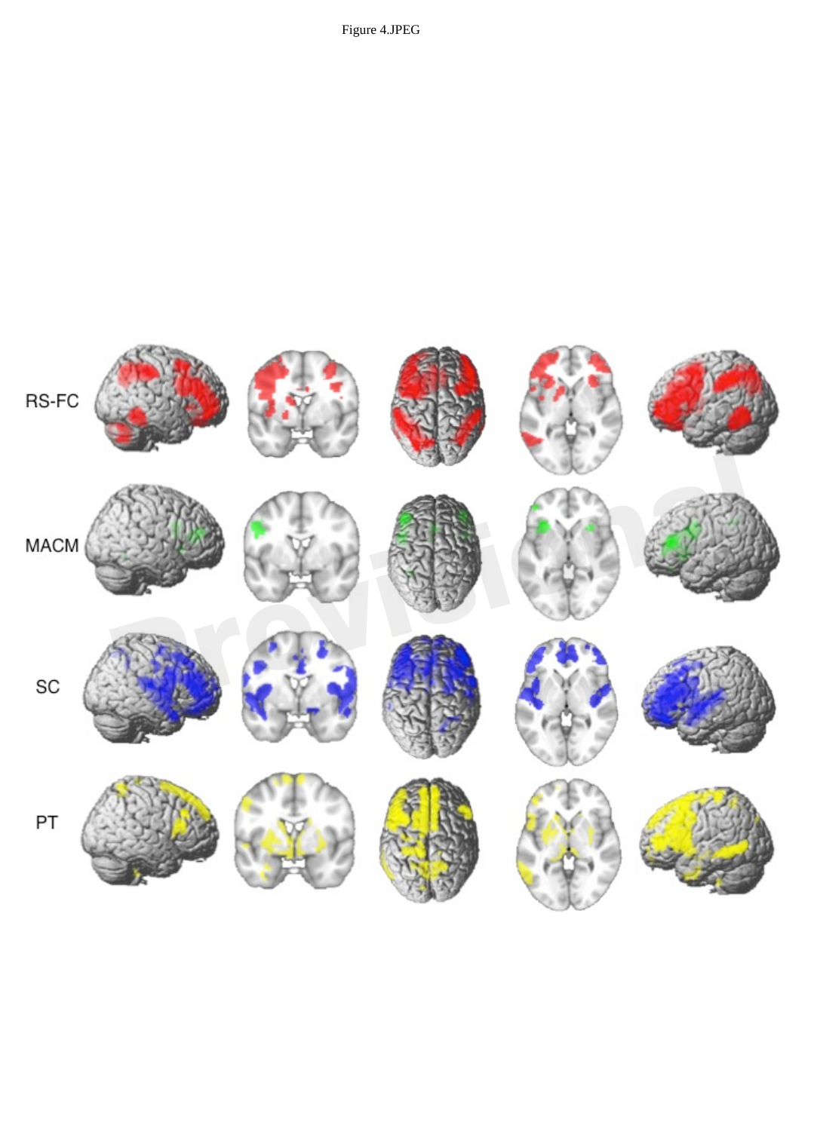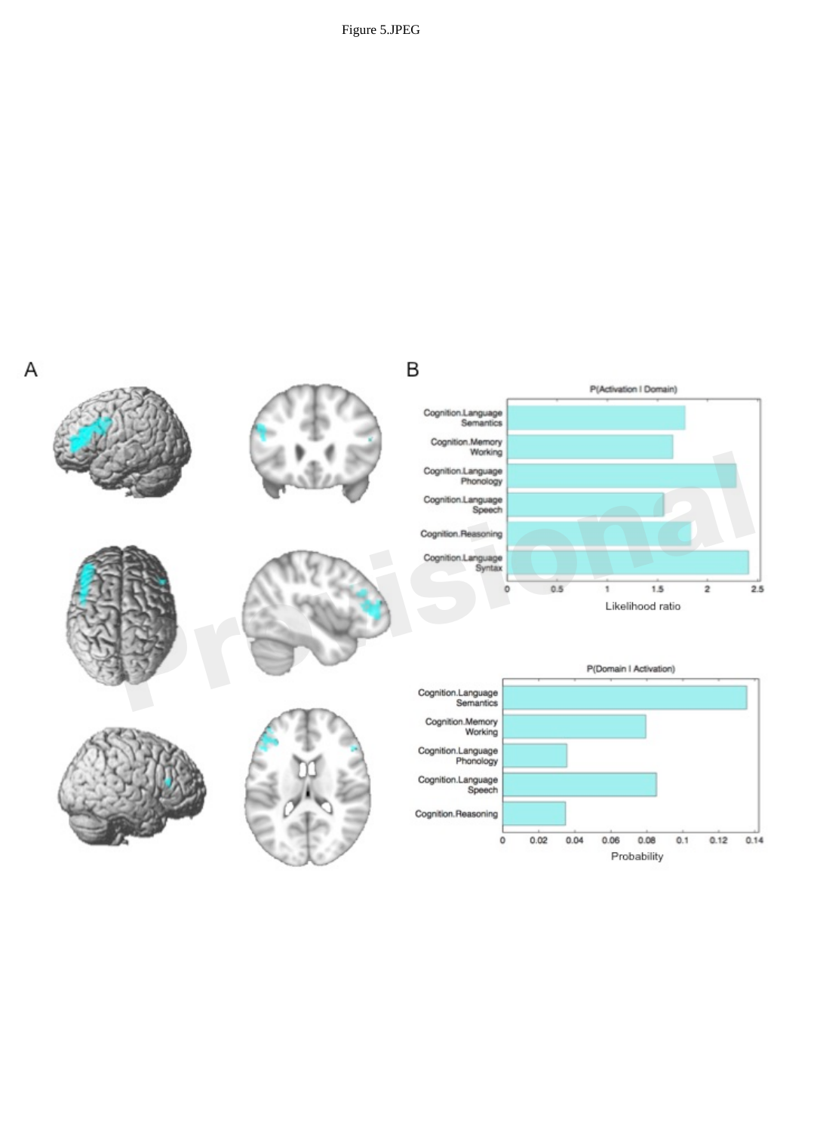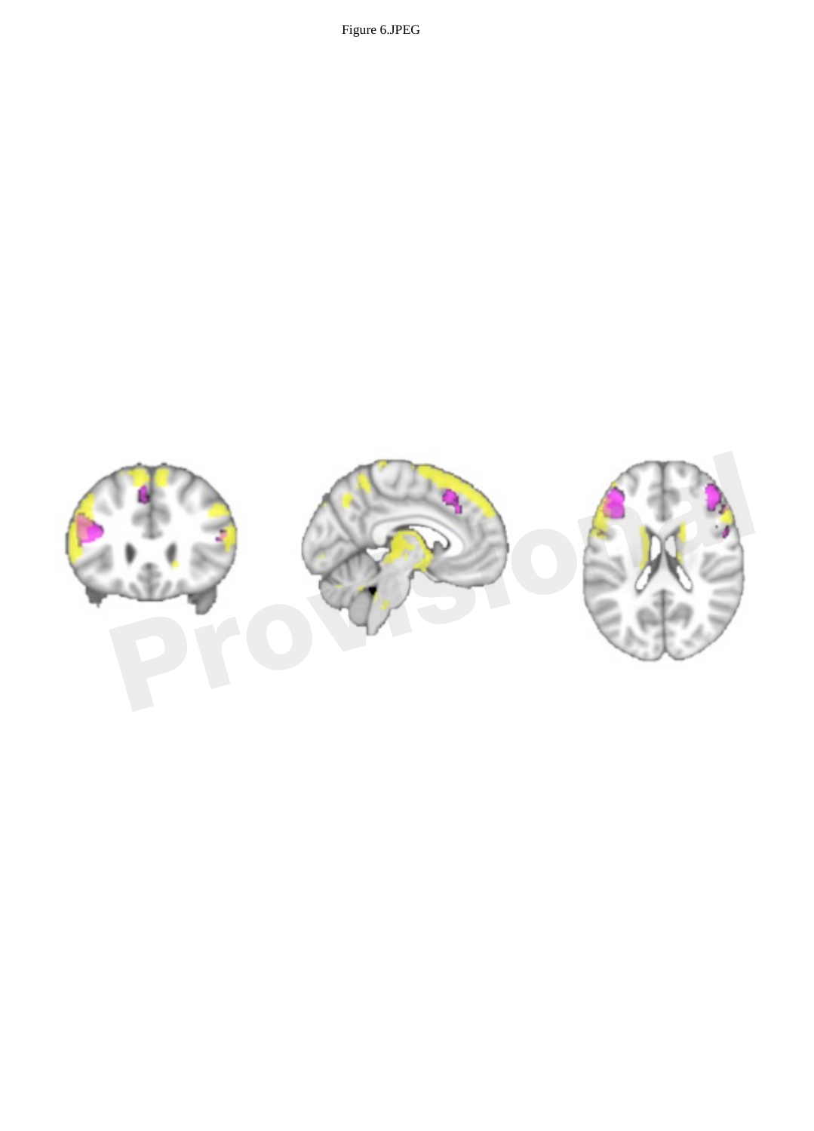Figure 6.JPEG

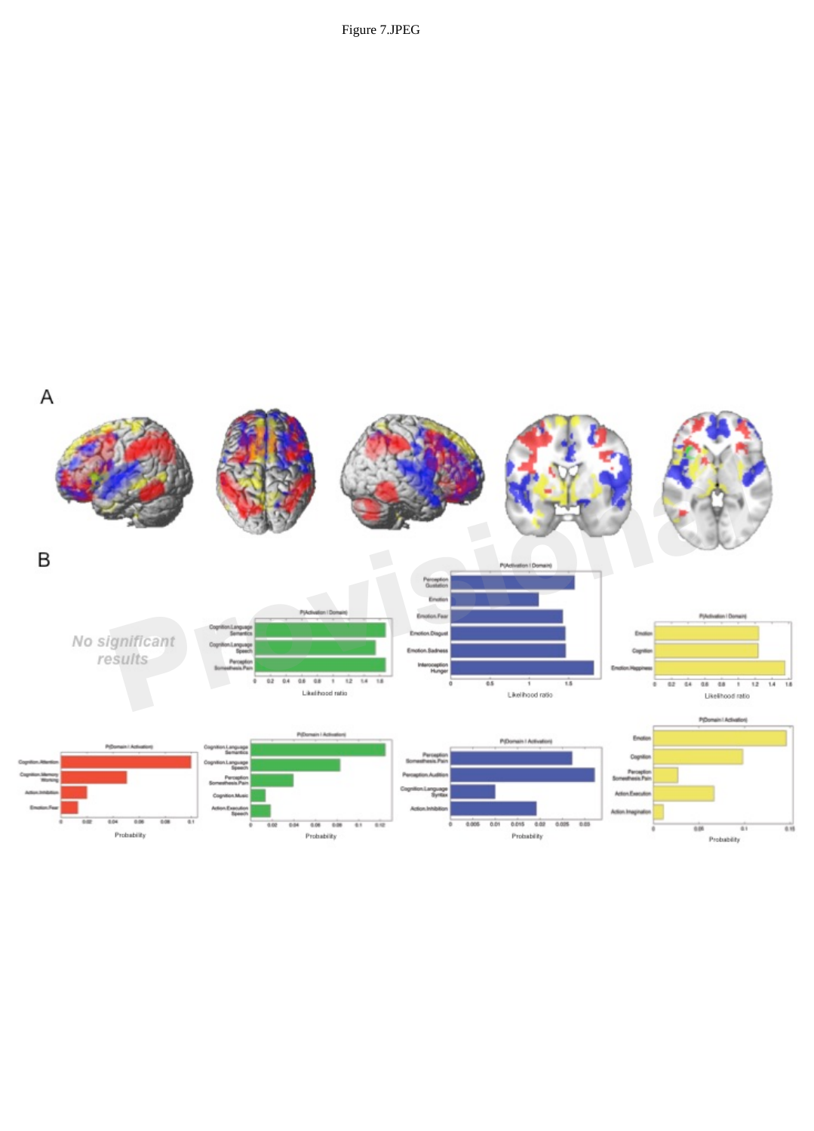Figure 7.JPEG